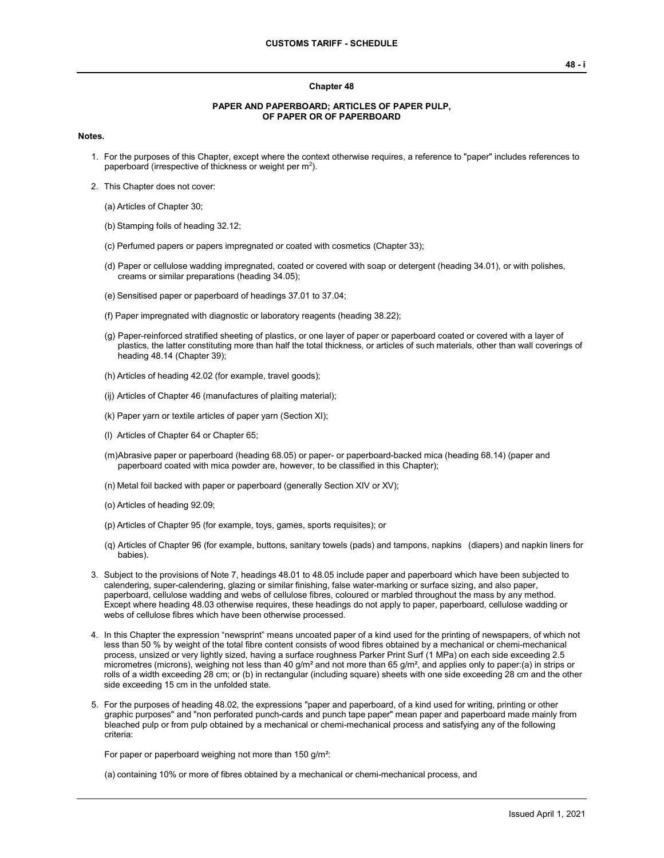#### **Chapter 48**

#### **PAPER AND PAPERBOARD; ARTICLES OF PAPER PULP, OF PAPER OR OF PAPERBOARD**

#### **Notes.**

- 1. For the purposes of this Chapter, except where the context otherwise requires, a reference to "paper" includes references to paperboard (irrespective of thickness or weight per  $m^2$ ).
- 2. This Chapter does not cover:
	- (a) Articles of Chapter 30;
	- (b) Stamping foils of heading 32.12;
	- (c) Perfumed papers or papers impregnated or coated with cosmetics (Chapter 33);
	- (d) Paper or cellulose wadding impregnated, coated or covered with soap or detergent (heading 34.01), or with polishes, creams or similar preparations (heading 34.05);
	- (e) Sensitised paper or paperboard of headings 37.01 to 37.04;
	- (f) Paper impregnated with diagnostic or laboratory reagents (heading 38.22);
	- (g) Paper-reinforced stratified sheeting of plastics, or one layer of paper or paperboard coated or covered with a layer of plastics, the latter constituting more than half the total thickness, or articles of such materials, other than wall coverings of heading 48.14 (Chapter 39);
	- (h) Articles of heading 42.02 (for example, travel goods);
	- (ij) Articles of Chapter 46 (manufactures of plaiting material);
	- (k) Paper yarn or textile articles of paper yarn (Section XI);
	- (l) Articles of Chapter 64 or Chapter 65;
	- (m)Abrasive paper or paperboard (heading 68.05) or paper- or paperboard-backed mica (heading 68.14) (paper and paperboard coated with mica powder are, however, to be classified in this Chapter);
	- (n) Metal foil backed with paper or paperboard (generally Section XIV or XV);
	- (o) Articles of heading 92.09;
	- (p) Articles of Chapter 95 (for example, toys, games, sports requisites); or
	- (q) Articles of Chapter 96 (for example, buttons, sanitary towels (pads) and tampons, napkins (diapers) and napkin liners for babies).
- 3. Subject to the provisions of Note 7, headings 48.01 to 48.05 include paper and paperboard which have been subjected to calendering, super-calendering, glazing or similar finishing, false water-marking or surface sizing, and also paper, paperboard, cellulose wadding and webs of cellulose fibres, coloured or marbled throughout the mass by any method. Except where heading 48.03 otherwise requires, these headings do not apply to paper, paperboard, cellulose wadding or webs of cellulose fibres which have been otherwise processed.
- 4. In this Chapter the expression "newsprint" means uncoated paper of a kind used for the printing of newspapers, of which not less than 50 % by weight of the total fibre content consists of wood fibres obtained by a mechanical or chemi-mechanical process, unsized or very lightly sized, having a surface roughness Parker Print Surf (1 MPa) on each side exceeding 2.5 micrometres (microns), weighing not less than 40 g/m<sup>2</sup> and not more than 65 g/m<sup>2</sup>, and applies only to paper:(a) in strips or rolls of a width exceeding 28 cm; or (b) in rectangular (including square) sheets with one side exceeding 28 cm and the other side exceeding 15 cm in the unfolded state.
- 5. For the purposes of heading 48.02, the expressions "paper and paperboard, of a kind used for writing, printing or other graphic purposes" and "non perforated punch-cards and punch tape paper" mean paper and paperboard made mainly from bleached pulp or from pulp obtained by a mechanical or chemi-mechanical process and satisfying any of the following criteria:

For paper or paperboard weighing not more than 150 g/m²:

(a) containing 10% or more of fibres obtained by a mechanical or chemi-mechanical process, and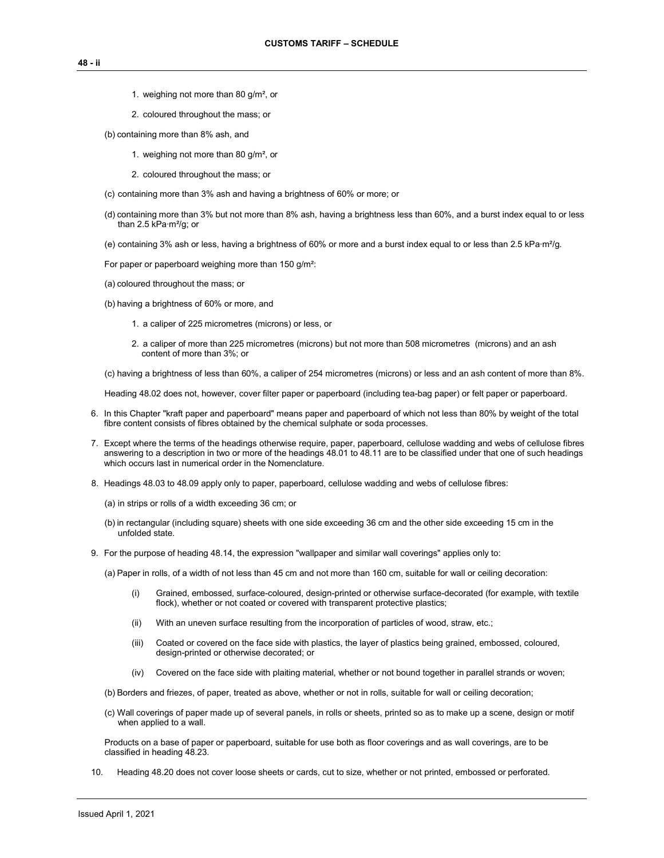- 1. weighing not more than 80 g/m², or
- 2. coloured throughout the mass; or
- (b) containing more than 8% ash, and
	- 1. weighing not more than 80 g/m², or
	- 2. coloured throughout the mass; or
- (c) containing more than 3% ash and having a brightness of 60% or more; or
- (d) containing more than 3% but not more than 8% ash, having a brightness less than 60%, and a burst index equal to or less than 2.5 kPa∙m²/g; or
- (e) containing 3% ash or less, having a brightness of 60% or more and a burst index equal to or less than 2.5 kPa∙m²/g.

For paper or paperboard weighing more than 150 g/m²:

- (a) coloured throughout the mass; or
- (b) having a brightness of 60% or more, and
	- 1. a caliper of 225 micrometres (microns) or less, or
	- 2. a caliper of more than 225 micrometres (microns) but not more than 508 micrometres (microns) and an ash content of more than 3%; or
- (c) having a brightness of less than 60%, a caliper of 254 micrometres (microns) or less and an ash content of more than 8%.
- Heading 48.02 does not, however, cover filter paper or paperboard (including tea-bag paper) or felt paper or paperboard.
- 6. In this Chapter "kraft paper and paperboard" means paper and paperboard of which not less than 80% by weight of the total fibre content consists of fibres obtained by the chemical sulphate or soda processes.
- 7. Except where the terms of the headings otherwise require, paper, paperboard, cellulose wadding and webs of cellulose fibres answering to a description in two or more of the headings 48.01 to 48.11 are to be classified under that one of such headings which occurs last in numerical order in the Nomenclature.
- 8. Headings 48.03 to 48.09 apply only to paper, paperboard, cellulose wadding and webs of cellulose fibres:
	- (a) in strips or rolls of a width exceeding 36 cm; or
	- (b) in rectangular (including square) sheets with one side exceeding 36 cm and the other side exceeding 15 cm in the unfolded state.
- 9. For the purpose of heading 48.14, the expression "wallpaper and similar wall coverings" applies only to:

(a) Paper in rolls, of a width of not less than 45 cm and not more than 160 cm, suitable for wall or ceiling decoration:

- (i) Grained, embossed, surface-coloured, design-printed or otherwise surface-decorated (for example, with textile flock), whether or not coated or covered with transparent protective plastics;
- (ii) With an uneven surface resulting from the incorporation of particles of wood, straw, etc.;
- (iii) Coated or covered on the face side with plastics, the layer of plastics being grained, embossed, coloured, design-printed or otherwise decorated; or
- (iv) Covered on the face side with plaiting material, whether or not bound together in parallel strands or woven;
- (b) Borders and friezes, of paper, treated as above, whether or not in rolls, suitable for wall or ceiling decoration;
- (c) Wall coverings of paper made up of several panels, in rolls or sheets, printed so as to make up a scene, design or motif when applied to a wall.

Products on a base of paper or paperboard, suitable for use both as floor coverings and as wall coverings, are to be classified in heading 48.23.

10. Heading 48.20 does not cover loose sheets or cards, cut to size, whether or not printed, embossed or perforated.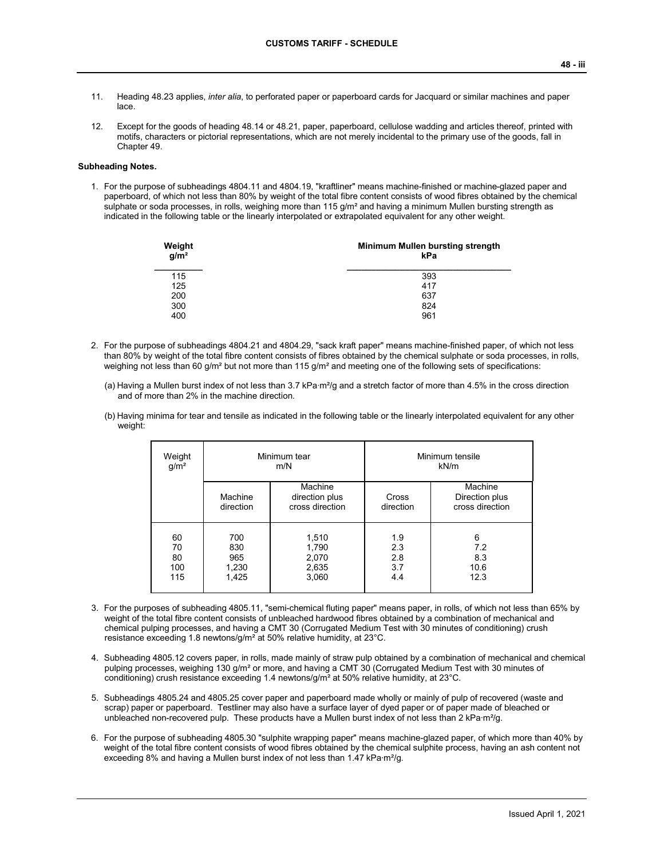- 11. Heading 48.23 applies, *inter alia*, to perforated paper or paperboard cards for Jacquard or similar machines and paper lace.
- 12. Except for the goods of heading 48.14 or 48.21, paper, paperboard, cellulose wadding and articles thereof, printed with motifs, characters or pictorial representations, which are not merely incidental to the primary use of the goods, fall in Chapter 49.

### **Subheading Notes.**

1. For the purpose of subheadings 4804.11 and 4804.19, "kraftliner" means machine-finished or machine-glazed paper and paperboard, of which not less than 80% by weight of the total fibre content consists of wood fibres obtained by the chemical sulphate or soda processes, in rolls, weighing more than 115 g/m<sup>2</sup> and having a minimum Mullen bursting strength as indicated in the following table or the linearly interpolated or extrapolated equivalent for any other weight.

| Weight<br>g/m <sup>2</sup> | Minimum Mullen bursting strength<br>kPa |
|----------------------------|-----------------------------------------|
| 115                        | 393                                     |
| 125                        | 417                                     |
| 200                        | 637                                     |
| 300                        | 824                                     |
| 400                        | 961                                     |

- 2. For the purpose of subheadings 4804.21 and 4804.29, "sack kraft paper" means machine-finished paper, of which not less than 80% by weight of the total fibre content consists of fibres obtained by the chemical sulphate or soda processes, in rolls, weighing not less than 60 g/m<sup>2</sup> but not more than 115 g/m<sup>2</sup> and meeting one of the following sets of specifications:
	- (a) Having a Mullen burst index of not less than 3.7 kPa∙m²/g and a stretch factor of more than 4.5% in the cross direction and of more than 2% in the machine direction.
	- (b) Having minima for tear and tensile as indicated in the following table or the linearly interpolated equivalent for any other weight:

| Weight<br>g/m <sup>2</sup>   |                                     | Minimum tear<br>m/N                          |                                 | Minimum tensile<br>kN/m                      |
|------------------------------|-------------------------------------|----------------------------------------------|---------------------------------|----------------------------------------------|
|                              | Machine<br>direction                | Machine<br>direction plus<br>cross direction | Cross<br>direction              | Machine<br>Direction plus<br>cross direction |
| 60<br>70<br>80<br>100<br>115 | 700<br>830<br>965<br>1,230<br>1,425 | 1,510<br>1,790<br>2,070<br>2,635<br>3,060    | 1.9<br>2.3<br>2.8<br>3.7<br>4.4 | 6<br>7.2<br>8.3<br>10.6<br>12.3              |

- 3. For the purposes of subheading 4805.11, "semi-chemical fluting paper" means paper, in rolls, of which not less than 65% by weight of the total fibre content consists of unbleached hardwood fibres obtained by a combination of mechanical and chemical pulping processes, and having a CMT 30 (Corrugated Medium Test with 30 minutes of conditioning) crush resistance exceeding 1.8 newtons/g/m² at 50% relative humidity, at 23°C.
- 4. Subheading 4805.12 covers paper, in rolls, made mainly of straw pulp obtained by a combination of mechanical and chemical pulping processes, weighing 130 g/m<sup>2</sup> or more, and having a CMT 30 (Corrugated Medium Test with 30 minutes of conditioning) crush resistance exceeding 1.4 newtons/g/m<sup>2</sup> at 50% relative humidity, at 23°C.
- 5. Subheadings 4805.24 and 4805.25 cover paper and paperboard made wholly or mainly of pulp of recovered (waste and scrap) paper or paperboard. Testliner may also have a surface layer of dyed paper or of paper made of bleached or unbleached non-recovered pulp. These products have a Mullen burst index of not less than 2 kPa·m<sup>2</sup>/g.
- 6. For the purpose of subheading 4805.30 "sulphite wrapping paper" means machine-glazed paper, of which more than 40% by weight of the total fibre content consists of wood fibres obtained by the chemical sulphite process, having an ash content not exceeding 8% and having a Mullen burst index of not less than 1.47 kPa∙m²/g.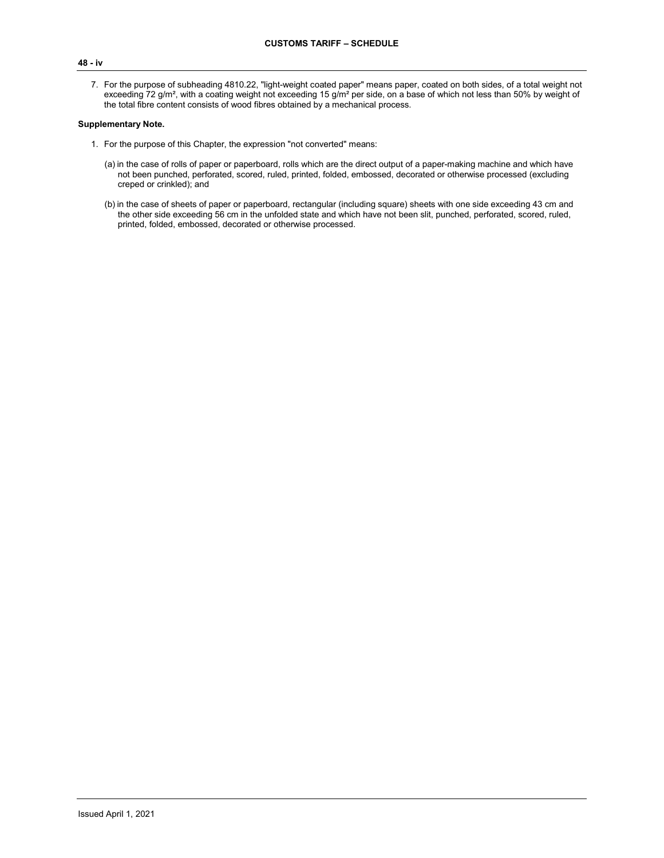### **48 - iv**

7. For the purpose of subheading 4810.22, "light-weight coated paper" means paper, coated on both sides, of a total weight not exceeding 72 g/m<sup>2</sup>, with a coating weight not exceeding 15 g/m<sup>2</sup> per side, on a base of which not less than 50% by weight of the total fibre content consists of wood fibres obtained by a mechanical process.

### **Supplementary Note.**

- 1. For the purpose of this Chapter, the expression "not converted" means:
	- (a) in the case of rolls of paper or paperboard, rolls which are the direct output of a paper-making machine and which have not been punched, perforated, scored, ruled, printed, folded, embossed, decorated or otherwise processed (excluding creped or crinkled); and
	- (b) in the case of sheets of paper or paperboard, rectangular (including square) sheets with one side exceeding 43 cm and the other side exceeding 56 cm in the unfolded state and which have not been slit, punched, perforated, scored, ruled, printed, folded, embossed, decorated or otherwise processed.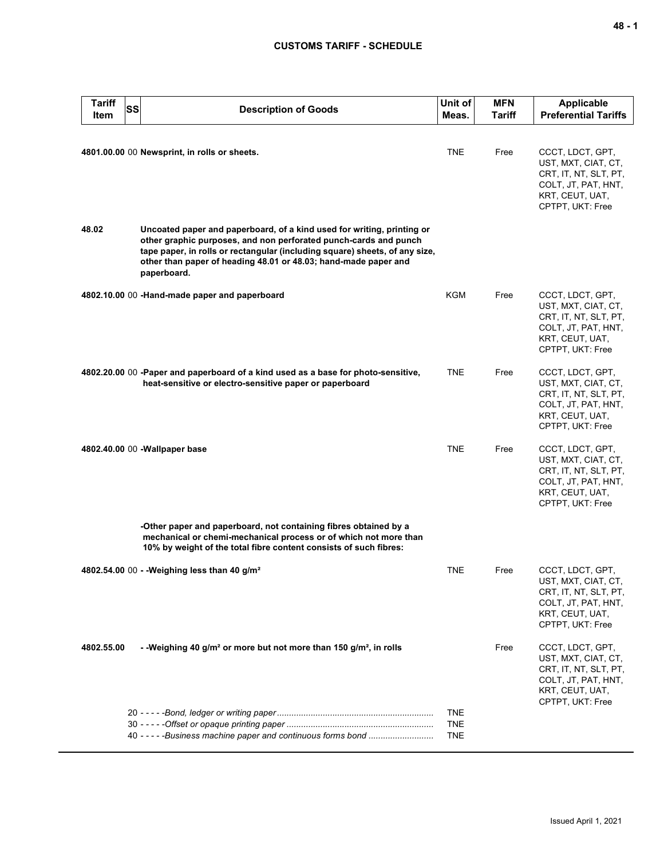| <b>Tariff</b><br>SS<br>Item | <b>Description of Goods</b>                                                                                                                                                                                                                                                                                 | Unit of<br>Meas.                       | <b>MFN</b><br>Tariff | <b>Applicable</b><br><b>Preferential Tariffs</b>                                                                               |
|-----------------------------|-------------------------------------------------------------------------------------------------------------------------------------------------------------------------------------------------------------------------------------------------------------------------------------------------------------|----------------------------------------|----------------------|--------------------------------------------------------------------------------------------------------------------------------|
|                             | 4801.00.00 00 Newsprint, in rolls or sheets.                                                                                                                                                                                                                                                                | <b>TNE</b>                             | Free                 | CCCT, LDCT, GPT,<br>UST, MXT, CIAT, CT,<br>CRT, IT, NT, SLT, PT,<br>COLT, JT, PAT, HNT,<br>KRT, CEUT, UAT,<br>CPTPT, UKT: Free |
| 48.02                       | Uncoated paper and paperboard, of a kind used for writing, printing or<br>other graphic purposes, and non perforated punch-cards and punch<br>tape paper, in rolls or rectangular (including square) sheets, of any size,<br>other than paper of heading 48.01 or 48.03; hand-made paper and<br>paperboard. |                                        |                      |                                                                                                                                |
|                             | 4802.10.00 00 -Hand-made paper and paperboard                                                                                                                                                                                                                                                               | KGM                                    | Free                 | CCCT, LDCT, GPT,<br>UST, MXT, CIAT, CT,<br>CRT, IT, NT, SLT, PT,<br>COLT, JT, PAT, HNT,<br>KRT, CEUT, UAT,<br>CPTPT, UKT: Free |
|                             | 4802.20.00 00 -Paper and paperboard of a kind used as a base for photo-sensitive,<br>heat-sensitive or electro-sensitive paper or paperboard                                                                                                                                                                | <b>TNE</b>                             | Free                 | CCCT, LDCT, GPT,<br>UST, MXT, CIAT, CT,<br>CRT, IT, NT, SLT, PT,<br>COLT, JT, PAT, HNT,<br>KRT, CEUT, UAT,<br>CPTPT, UKT: Free |
|                             | 4802.40.00 00 - Wallpaper base                                                                                                                                                                                                                                                                              | <b>TNE</b>                             | Free                 | CCCT, LDCT, GPT,<br>UST, MXT, CIAT, CT,<br>CRT, IT, NT, SLT, PT,<br>COLT, JT, PAT, HNT,<br>KRT, CEUT, UAT,<br>CPTPT, UKT: Free |
|                             | -Other paper and paperboard, not containing fibres obtained by a<br>mechanical or chemi-mechanical process or of which not more than<br>10% by weight of the total fibre content consists of such fibres:                                                                                                   |                                        |                      |                                                                                                                                |
|                             | 4802.54.00 00 - -Weighing less than 40 g/m <sup>2</sup>                                                                                                                                                                                                                                                     | <b>TNE</b>                             | Free                 | CCCT, LDCT, GPT,<br>UST, MXT, CIAT, CT,<br>CRT, IT, NT, SLT, PT,<br>COLT, JT, PAT, HNT,<br>KRT, CEUT, UAT,<br>CPTPT, UKT: Free |
| 4802.55.00                  | - -Weighing 40 g/m <sup>2</sup> or more but not more than 150 g/m <sup>2</sup> , in rolls                                                                                                                                                                                                                   |                                        | Free                 | CCCT, LDCT, GPT,<br>UST, MXT, CIAT, CT,<br>CRT, IT, NT, SLT, PT,<br>COLT, JT, PAT, HNT,<br>KRT, CEUT, UAT,<br>CPTPT, UKT: Free |
|                             | 40 - - - - - Business machine paper and continuous forms bond                                                                                                                                                                                                                                               | <b>TNE</b><br><b>TNE</b><br><b>TNE</b> |                      |                                                                                                                                |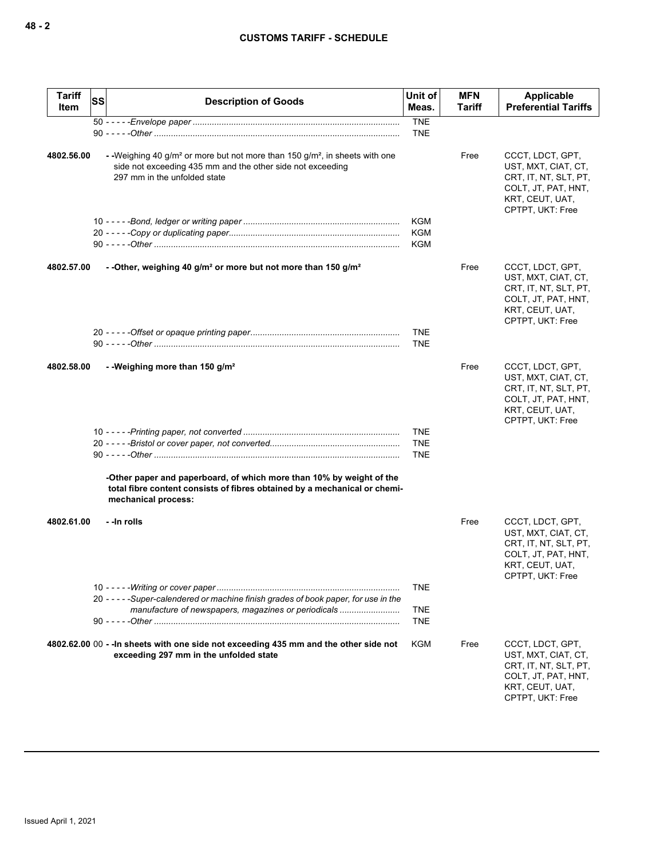| <b>Tariff</b><br>Item | <b>SS</b> | <b>Description of Goods</b>                                                                                                                                                                      | Unit of<br>Meas. | <b>MFN</b><br>Tariff | Applicable<br><b>Preferential Tariffs</b>                                                                                      |
|-----------------------|-----------|--------------------------------------------------------------------------------------------------------------------------------------------------------------------------------------------------|------------------|----------------------|--------------------------------------------------------------------------------------------------------------------------------|
|                       |           |                                                                                                                                                                                                  | <b>TNE</b>       |                      |                                                                                                                                |
|                       |           |                                                                                                                                                                                                  | TNE              |                      |                                                                                                                                |
| 4802.56.00            |           | --Weighing 40 g/m <sup>2</sup> or more but not more than 150 g/m <sup>2</sup> , in sheets with one<br>side not exceeding 435 mm and the other side not exceeding<br>297 mm in the unfolded state |                  | Free                 | CCCT, LDCT, GPT,<br>UST, MXT, CIAT, CT,<br>CRT, IT, NT, SLT, PT,<br>COLT, JT, PAT, HNT,<br>KRT, CEUT, UAT,<br>CPTPT, UKT: Free |
|                       |           |                                                                                                                                                                                                  | <b>KGM</b>       |                      |                                                                                                                                |
|                       |           |                                                                                                                                                                                                  | <b>KGM</b>       |                      |                                                                                                                                |
|                       |           |                                                                                                                                                                                                  | <b>KGM</b>       |                      |                                                                                                                                |
| 4802.57.00            |           | - - Other, weighing 40 g/m <sup>2</sup> or more but not more than 150 g/m <sup>2</sup>                                                                                                           |                  | Free                 | CCCT, LDCT, GPT,<br>UST, MXT, CIAT, CT,<br>CRT, IT, NT, SLT, PT,<br>COLT, JT, PAT, HNT,<br>KRT, CEUT, UAT,<br>CPTPT, UKT: Free |
|                       |           |                                                                                                                                                                                                  | <b>TNE</b>       |                      |                                                                                                                                |
|                       |           |                                                                                                                                                                                                  | <b>TNE</b>       |                      |                                                                                                                                |
| 4802.58.00            |           | - -Weighing more than 150 $g/m^2$                                                                                                                                                                |                  | Free                 | CCCT, LDCT, GPT,<br>UST, MXT, CIAT, CT,<br>CRT, IT, NT, SLT, PT,<br>COLT, JT, PAT, HNT,<br>KRT, CEUT, UAT,<br>CPTPT, UKT: Free |
|                       |           |                                                                                                                                                                                                  | TNE              |                      |                                                                                                                                |
|                       |           |                                                                                                                                                                                                  | <b>TNE</b>       |                      |                                                                                                                                |
|                       |           |                                                                                                                                                                                                  | <b>TNE</b>       |                      |                                                                                                                                |
|                       |           | -Other paper and paperboard, of which more than 10% by weight of the<br>total fibre content consists of fibres obtained by a mechanical or chemi-<br>mechanical process:                         |                  |                      |                                                                                                                                |
| 4802.61.00            |           | - - In rolls                                                                                                                                                                                     |                  | Free                 | CCCT, LDCT, GPT,<br>UST, MXT, CIAT, CT,<br>CRT, IT, NT, SLT, PT,<br>COLT, JT, PAT, HNT,<br>KRT, CEUT, UAT,<br>CPTPT, UKT: Free |
|                       |           |                                                                                                                                                                                                  | TNE              |                      |                                                                                                                                |
|                       |           | 20 - - - - - Super-calendered or machine finish grades of book paper, for use in the                                                                                                             |                  |                      |                                                                                                                                |
|                       |           | manufacture of newspapers, magazines or periodicals                                                                                                                                              | <b>TNE</b>       |                      |                                                                                                                                |
|                       |           |                                                                                                                                                                                                  | <b>TNE</b>       |                      |                                                                                                                                |
|                       |           | 4802.62.00 00 - - In sheets with one side not exceeding 435 mm and the other side not<br>exceeding 297 mm in the unfolded state                                                                  | KGM              | Free                 | CCCT, LDCT, GPT,<br>UST, MXT, CIAT, CT,<br>CRT, IT, NT, SLT, PT,<br>COLT, JT, PAT, HNT,<br>KRT, CEUT, UAT,<br>CPTPT, UKT: Free |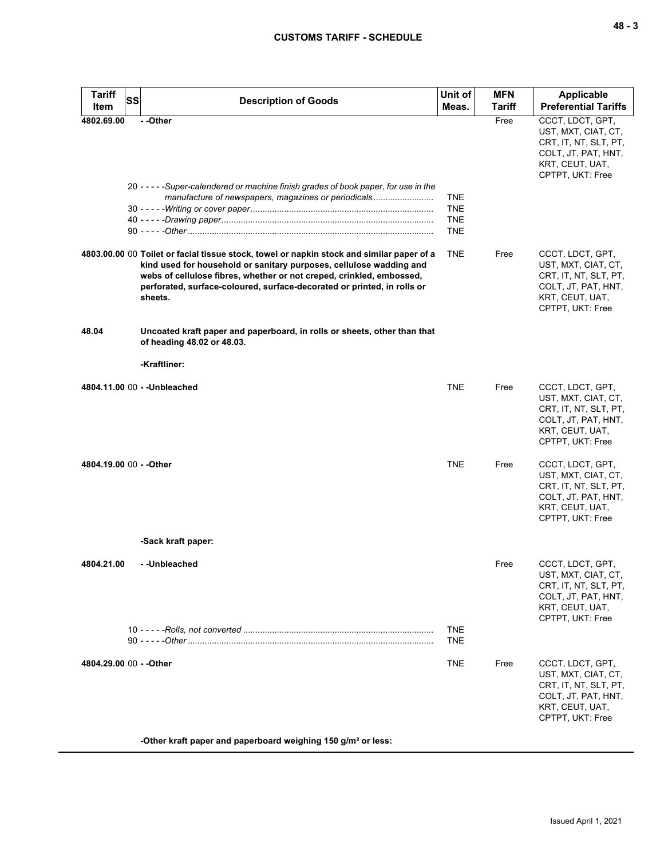| <b>Tariff</b><br>Item   | <b>SS</b><br><b>Description of Goods</b>                                                                                                                                                                                                                                                                                       | Unit of<br>Meas.                       | <b>MFN</b><br>Tariff | Applicable<br><b>Preferential Tariffs</b>                                                                                      |
|-------------------------|--------------------------------------------------------------------------------------------------------------------------------------------------------------------------------------------------------------------------------------------------------------------------------------------------------------------------------|----------------------------------------|----------------------|--------------------------------------------------------------------------------------------------------------------------------|
| 4802.69.00              | --Other<br>20 - - - - - Super-calendered or machine finish grades of book paper, for use in the<br>manufacture of newspapers, magazines or periodicals                                                                                                                                                                         | <b>TNE</b><br><b>TNE</b><br><b>TNE</b> | Free                 | CCCT, LDCT, GPT,<br>UST, MXT, CIAT, CT,<br>CRT, IT, NT, SLT, PT,<br>COLT, JT, PAT, HNT,<br>KRT, CEUT, UAT,<br>CPTPT, UKT: Free |
|                         |                                                                                                                                                                                                                                                                                                                                | <b>TNE</b>                             |                      |                                                                                                                                |
|                         | 4803.00.00 00 Toilet or facial tissue stock, towel or napkin stock and similar paper of a<br>kind used for household or sanitary purposes, cellulose wadding and<br>webs of cellulose fibres, whether or not creped, crinkled, embossed,<br>perforated, surface-coloured, surface-decorated or printed, in rolls or<br>sheets. | <b>TNE</b>                             | Free                 | CCCT, LDCT, GPT,<br>UST, MXT, CIAT, CT,<br>CRT, IT, NT, SLT, PT,<br>COLT, JT, PAT, HNT,<br>KRT, CEUT, UAT,<br>CPTPT, UKT: Free |
| 48.04                   | Uncoated kraft paper and paperboard, in rolls or sheets, other than that<br>of heading 48.02 or 48.03.                                                                                                                                                                                                                         |                                        |                      |                                                                                                                                |
|                         | -Kraftliner:                                                                                                                                                                                                                                                                                                                   |                                        |                      |                                                                                                                                |
|                         | 4804.11.00 00 - - Unbleached                                                                                                                                                                                                                                                                                                   | <b>TNE</b>                             | Free                 | CCCT, LDCT, GPT,<br>UST, MXT, CIAT, CT,<br>CRT, IT, NT, SLT, PT,<br>COLT, JT, PAT, HNT,<br>KRT, CEUT, UAT,<br>CPTPT, UKT: Free |
| 4804.19.00 00 - - Other |                                                                                                                                                                                                                                                                                                                                | <b>TNE</b>                             | Free                 | CCCT, LDCT, GPT,<br>UST, MXT, CIAT, CT,<br>CRT, IT, NT, SLT, PT,<br>COLT, JT, PAT, HNT,<br>KRT, CEUT, UAT,<br>CPTPT, UKT: Free |
|                         | -Sack kraft paper:                                                                                                                                                                                                                                                                                                             |                                        |                      |                                                                                                                                |
| 4804.21.00              | - -Unbleached                                                                                                                                                                                                                                                                                                                  |                                        | Free                 | CCCT, LDCT, GPT,<br>UST, MXT, CIAT, CT,<br>CRT, IT, NT, SLT, PT,<br>COLT, JT, PAT, HNT,<br>KRT, CEUT, UAT,<br>CPTPT, UKT: Free |
|                         |                                                                                                                                                                                                                                                                                                                                | <b>TNE</b><br><b>TNE</b>               |                      |                                                                                                                                |
| 4804.29.00 00 - - Other |                                                                                                                                                                                                                                                                                                                                | <b>TNE</b>                             | Free                 | CCCT, LDCT, GPT,<br>UST, MXT, CIAT, CT,<br>CRT, IT, NT, SLT, PT,<br>COLT, JT, PAT, HNT,<br>KRT, CEUT, UAT,<br>CPTPT, UKT: Free |
|                         | -Other kraft paper and paperboard weighing 150 g/m <sup>2</sup> or less:                                                                                                                                                                                                                                                       |                                        |                      |                                                                                                                                |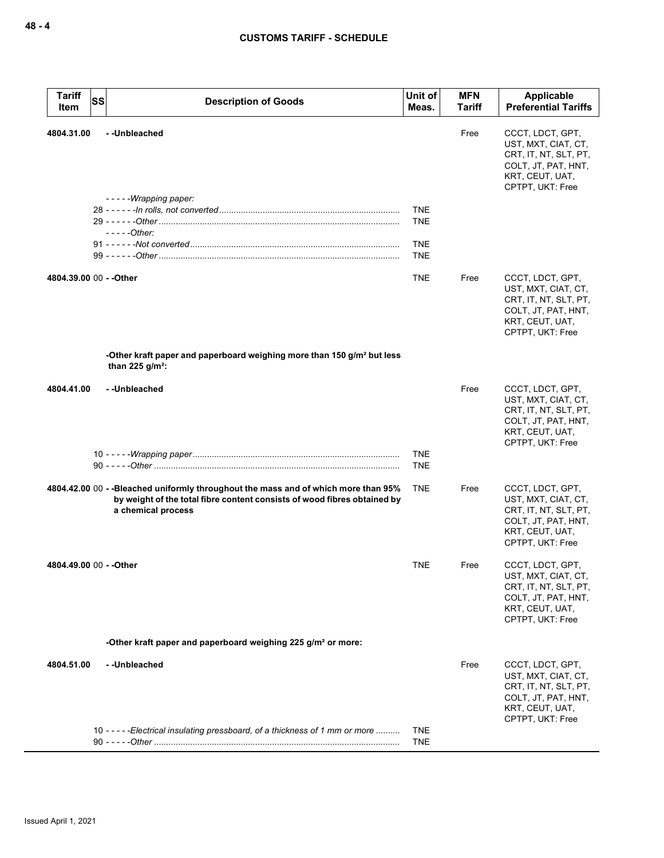| <b>Tariff</b><br>Item   | <b>SS</b> | <b>Description of Goods</b>                                                                                                                                                          | Unit of<br>Meas.                       | <b>MFN</b><br>Tariff | Applicable<br><b>Preferential Tariffs</b>                                                                                      |
|-------------------------|-----------|--------------------------------------------------------------------------------------------------------------------------------------------------------------------------------------|----------------------------------------|----------------------|--------------------------------------------------------------------------------------------------------------------------------|
| 4804.31.00              |           | --Unbleached<br>-----Wrapping paper:                                                                                                                                                 |                                        | Free                 | CCCT, LDCT, GPT,<br>UST, MXT, CIAT, CT,<br>CRT, IT, NT, SLT, PT,<br>COLT, JT, PAT, HNT,<br>KRT, CEUT, UAT,<br>CPTPT, UKT: Free |
|                         |           | $---Other:$                                                                                                                                                                          | <b>TNE</b><br><b>TNE</b><br><b>TNE</b> |                      |                                                                                                                                |
|                         |           |                                                                                                                                                                                      | <b>TNE</b>                             |                      |                                                                                                                                |
| 4804.39.00 00 - - Other |           |                                                                                                                                                                                      | <b>TNE</b>                             | Free                 | CCCT, LDCT, GPT,<br>UST, MXT, CIAT, CT,<br>CRT, IT, NT, SLT, PT,<br>COLT, JT, PAT, HNT,<br>KRT, CEUT, UAT,<br>CPTPT, UKT: Free |
|                         |           | -Other kraft paper and paperboard weighing more than 150 g/m <sup>2</sup> but less<br>than 225 $q/m^2$ :                                                                             |                                        |                      |                                                                                                                                |
| 4804.41.00              |           | --Unbleached                                                                                                                                                                         |                                        | Free                 | CCCT, LDCT, GPT,<br>UST, MXT, CIAT, CT,<br>CRT, IT, NT, SLT, PT,<br>COLT, JT, PAT, HNT,<br>KRT, CEUT, UAT,<br>CPTPT, UKT: Free |
|                         |           |                                                                                                                                                                                      | <b>TNE</b><br><b>TNE</b>               |                      |                                                                                                                                |
|                         |           | 4804.42.00 00 - -Bleached uniformly throughout the mass and of which more than 95%<br>by weight of the total fibre content consists of wood fibres obtained by<br>a chemical process | <b>TNE</b>                             | Free                 | CCCT, LDCT, GPT,<br>UST, MXT, CIAT, CT,<br>CRT, IT, NT, SLT, PT,<br>COLT, JT, PAT, HNT,<br>KRT, CEUT, UAT,<br>CPTPT, UKT: Free |
| 4804.49.00 00 - - Other |           |                                                                                                                                                                                      | <b>TNE</b>                             | Free                 | CCCT, LDCT, GPT,<br>UST, MXT, CIAT, CT,<br>CRT, IT, NT, SLT, PT,<br>COLT, JT, PAT, HNT,<br>KRT, CEUT, UAT,<br>CPTPT, UKT: Free |
|                         |           | -Other kraft paper and paperboard weighing 225 g/m <sup>2</sup> or more:                                                                                                             |                                        |                      |                                                                                                                                |
| 4804.51.00              |           | --Unbleached                                                                                                                                                                         |                                        | Free                 | CCCT, LDCT, GPT,<br>UST, MXT, CIAT, CT,<br>CRT, IT, NT, SLT, PT,<br>COLT, JT, PAT, HNT,<br>KRT, CEUT, UAT,<br>CPTPT, UKT: Free |
|                         |           | 10 - - - - - Electrical insulating pressboard, of a thickness of 1 mm or more                                                                                                        | <b>TNE</b><br><b>TNE</b>               |                      |                                                                                                                                |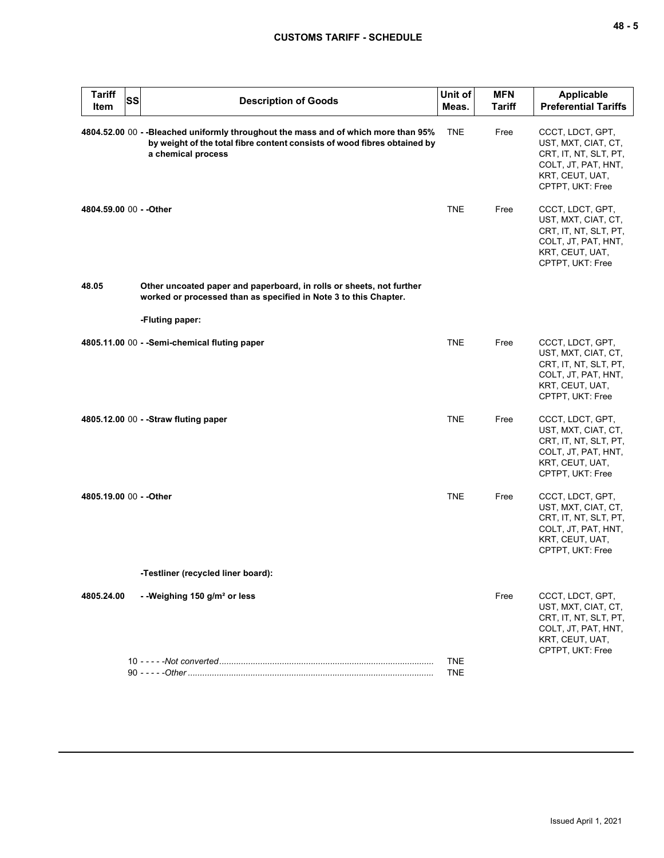| <b>Tariff</b><br>Item   | <b>SS</b> | <b>Description of Goods</b>                                                                                                                                                         | Unit of<br>Meas.         | <b>MFN</b><br><b>Tariff</b> | <b>Applicable</b><br><b>Preferential Tariffs</b>                                                                               |
|-------------------------|-----------|-------------------------------------------------------------------------------------------------------------------------------------------------------------------------------------|--------------------------|-----------------------------|--------------------------------------------------------------------------------------------------------------------------------|
|                         |           | 4804.52.00 00 --Bleached uniformly throughout the mass and of which more than 95%<br>by weight of the total fibre content consists of wood fibres obtained by<br>a chemical process | <b>TNE</b>               | Free                        | CCCT, LDCT, GPT,<br>UST, MXT, CIAT, CT,<br>CRT, IT, NT, SLT, PT,<br>COLT, JT, PAT, HNT,<br>KRT, CEUT, UAT,<br>CPTPT, UKT: Free |
| 4804.59.00 00 - - Other |           |                                                                                                                                                                                     | <b>TNE</b>               | Free                        | CCCT, LDCT, GPT,<br>UST, MXT, CIAT, CT,<br>CRT, IT, NT, SLT, PT,<br>COLT, JT, PAT, HNT,<br>KRT, CEUT, UAT,<br>CPTPT, UKT: Free |
| 48.05                   |           | Other uncoated paper and paperboard, in rolls or sheets, not further<br>worked or processed than as specified in Note 3 to this Chapter.                                            |                          |                             |                                                                                                                                |
|                         |           | -Fluting paper:                                                                                                                                                                     |                          |                             |                                                                                                                                |
|                         |           | 4805.11.00 00 - - Semi-chemical fluting paper                                                                                                                                       | <b>TNE</b>               | Free                        | CCCT, LDCT, GPT,<br>UST, MXT, CIAT, CT,<br>CRT, IT, NT, SLT, PT,<br>COLT, JT, PAT, HNT,<br>KRT, CEUT, UAT,<br>CPTPT, UKT: Free |
|                         |           | 4805.12.00 00 - - Straw fluting paper                                                                                                                                               | <b>TNE</b>               | Free                        | CCCT, LDCT, GPT,<br>UST, MXT, CIAT, CT,<br>CRT, IT, NT, SLT, PT,<br>COLT, JT, PAT, HNT,<br>KRT, CEUT, UAT,<br>CPTPT, UKT: Free |
| 4805.19.00 00 - - Other |           |                                                                                                                                                                                     | <b>TNE</b>               | Free                        | CCCT, LDCT, GPT,<br>UST, MXT, CIAT, CT,<br>CRT, IT, NT, SLT, PT,<br>COLT, JT, PAT, HNT,<br>KRT, CEUT, UAT,<br>CPTPT, UKT: Free |
|                         |           | -Testliner (recycled liner board):                                                                                                                                                  |                          |                             |                                                                                                                                |
| 4805.24.00              |           | --Weighing 150 g/m <sup>2</sup> or less                                                                                                                                             |                          | Free                        | CCCT, LDCT, GPT,<br>UST, MXT, CIAT, CT,<br>CRT, IT, NT, SLT, PT,<br>COLT, JT, PAT, HNT,<br>KRT, CEUT, UAT,<br>CPTPT, UKT: Free |
|                         |           |                                                                                                                                                                                     | <b>TNE</b><br><b>TNE</b> |                             |                                                                                                                                |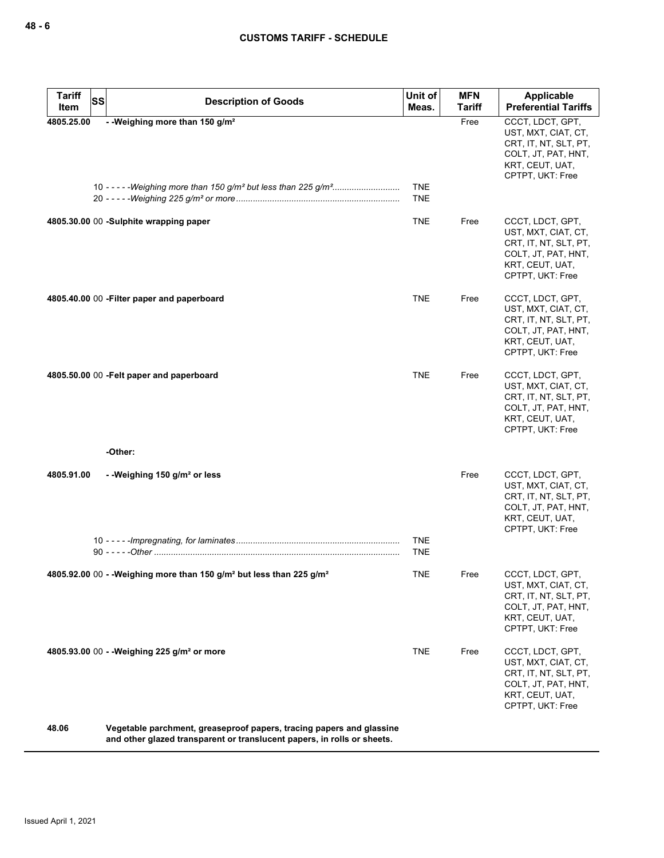| <b>Tariff</b><br><b>SS</b><br>Item | <b>Description of Goods</b>                                                                                                                     | Unit of<br>Meas.         | <b>MFN</b><br>Tariff | <b>Applicable</b><br><b>Preferential Tariffs</b>                                                                               |
|------------------------------------|-------------------------------------------------------------------------------------------------------------------------------------------------|--------------------------|----------------------|--------------------------------------------------------------------------------------------------------------------------------|
| 4805.25.00                         | - - Weighing more than 150 g/m <sup>2</sup>                                                                                                     | <b>TNE</b>               | Free                 | CCCT, LDCT, GPT,<br>UST, MXT, CIAT, CT,<br>CRT, IT, NT, SLT, PT,<br>COLT, JT, PAT, HNT,<br>KRT, CEUT, UAT,<br>CPTPT, UKT: Free |
|                                    |                                                                                                                                                 | TNE                      |                      |                                                                                                                                |
|                                    | 4805.30.00 00 -Sulphite wrapping paper                                                                                                          | <b>TNE</b>               | Free                 | CCCT, LDCT, GPT,<br>UST, MXT, CIAT, CT,<br>CRT, IT, NT, SLT, PT,<br>COLT, JT, PAT, HNT,<br>KRT, CEUT, UAT,<br>CPTPT, UKT: Free |
|                                    | 4805.40.00 00 - Filter paper and paperboard                                                                                                     | TNE                      | Free                 | CCCT, LDCT, GPT,<br>UST, MXT, CIAT, CT,<br>CRT, IT, NT, SLT, PT,<br>COLT, JT, PAT, HNT,<br>KRT, CEUT, UAT,<br>CPTPT, UKT: Free |
|                                    | 4805.50.00 00 - Felt paper and paperboard                                                                                                       | <b>TNE</b>               | Free                 | CCCT, LDCT, GPT,<br>UST, MXT, CIAT, CT,<br>CRT, IT, NT, SLT, PT,<br>COLT, JT, PAT, HNT,<br>KRT, CEUT, UAT,<br>CPTPT, UKT: Free |
|                                    | -Other:                                                                                                                                         |                          |                      |                                                                                                                                |
| 4805.91.00                         | - -Weighing 150 $g/m2$ or less                                                                                                                  |                          | Free                 | CCCT, LDCT, GPT,<br>UST, MXT, CIAT, CT,<br>CRT, IT, NT, SLT, PT,<br>COLT, JT, PAT, HNT,<br>KRT, CEUT, UAT,<br>CPTPT, UKT: Free |
|                                    |                                                                                                                                                 | <b>TNE</b><br><b>TNE</b> |                      |                                                                                                                                |
|                                    | 4805.92.00 00 - - Weighing more than 150 g/m <sup>2</sup> but less than 225 g/m <sup>2</sup>                                                    | <b>TNE</b>               | Free                 | CCCT, LDCT, GPT,<br>UST, MXT, CIAT, CT,<br>CRT, IT, NT, SLT, PT,<br>COLT, JT, PAT, HNT,<br>KRT, CEUT, UAT,<br>CPTPT, UKT: Free |
|                                    | 4805.93.00 00 - - Weighing 225 g/m <sup>2</sup> or more                                                                                         | <b>TNE</b>               | Free                 | CCCT, LDCT, GPT,<br>UST, MXT, CIAT, CT,<br>CRT, IT, NT, SLT, PT,<br>COLT, JT, PAT, HNT,<br>KRT, CEUT, UAT,<br>CPTPT, UKT: Free |
| 48.06                              | Vegetable parchment, greaseproof papers, tracing papers and glassine<br>and other glazed transparent or translucent papers, in rolls or sheets. |                          |                      |                                                                                                                                |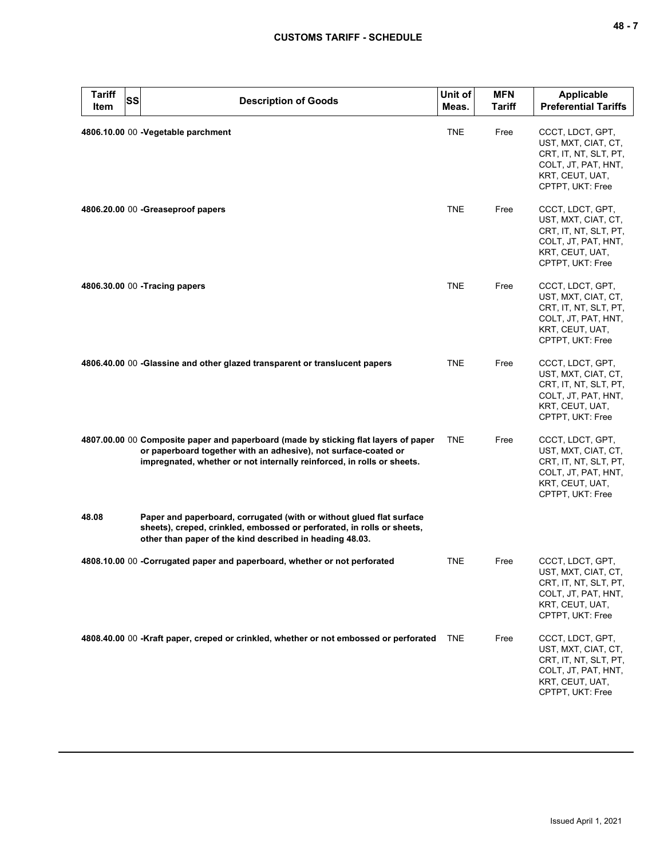| ۰.<br>., |  |  |
|----------|--|--|
|----------|--|--|

| <b>Tariff</b><br>Item | <b>SS</b> | <b>Description of Goods</b>                                                                                                                                                                                                      | Unit of<br>Meas. | <b>MFN</b><br><b>Tariff</b> | Applicable<br><b>Preferential Tariffs</b>                                                                                      |
|-----------------------|-----------|----------------------------------------------------------------------------------------------------------------------------------------------------------------------------------------------------------------------------------|------------------|-----------------------------|--------------------------------------------------------------------------------------------------------------------------------|
|                       |           | 4806.10.00 00 - Vegetable parchment                                                                                                                                                                                              | <b>TNE</b>       | Free                        | CCCT, LDCT, GPT,<br>UST, MXT, CIAT, CT,<br>CRT, IT, NT, SLT, PT,<br>COLT, JT, PAT, HNT,<br>KRT, CEUT, UAT,<br>CPTPT, UKT: Free |
|                       |           | 4806.20.00 00 - Greaseproof papers                                                                                                                                                                                               | <b>TNE</b>       | Free                        | CCCT, LDCT, GPT,<br>UST, MXT, CIAT, CT,<br>CRT, IT, NT, SLT, PT,<br>COLT, JT, PAT, HNT,<br>KRT, CEUT, UAT,<br>CPTPT, UKT: Free |
|                       |           | 4806.30.00 00 - Tracing papers                                                                                                                                                                                                   | <b>TNE</b>       | Free                        | CCCT, LDCT, GPT,<br>UST, MXT, CIAT, CT,<br>CRT, IT, NT, SLT, PT,<br>COLT, JT, PAT, HNT,<br>KRT, CEUT, UAT,<br>CPTPT, UKT: Free |
|                       |           | 4806.40.00 00 -Glassine and other glazed transparent or translucent papers                                                                                                                                                       | <b>TNE</b>       | Free                        | CCCT, LDCT, GPT,<br>UST, MXT, CIAT, CT,<br>CRT, IT, NT, SLT, PT,<br>COLT, JT, PAT, HNT,<br>KRT, CEUT, UAT,<br>CPTPT, UKT: Free |
|                       |           | 4807.00.00 00 Composite paper and paperboard (made by sticking flat layers of paper<br>or paperboard together with an adhesive), not surface-coated or<br>impregnated, whether or not internally reinforced, in rolls or sheets. | <b>TNE</b>       | Free                        | CCCT, LDCT, GPT,<br>UST, MXT, CIAT, CT,<br>CRT, IT, NT, SLT, PT,<br>COLT, JT, PAT, HNT,<br>KRT, CEUT, UAT,<br>CPTPT, UKT: Free |
| 48.08                 |           | Paper and paperboard, corrugated (with or without glued flat surface<br>sheets), creped, crinkled, embossed or perforated, in rolls or sheets,<br>other than paper of the kind described in heading 48.03.                       |                  |                             |                                                                                                                                |
|                       |           | 4808.10.00 00 -Corrugated paper and paperboard, whether or not perforated                                                                                                                                                        | <b>TNE</b>       | Free                        | CCCT, LDCT, GPT,<br>UST, MXT, CIAT, CT,<br>CRT, IT, NT, SLT, PT,<br>COLT, JT, PAT, HNT,<br>KRT, CEUT, UAT,<br>CPTPT, UKT: Free |
|                       |           | 4808.40.00 00 -Kraft paper, creped or crinkled, whether or not embossed or perforated                                                                                                                                            | <b>TNE</b>       | Free                        | CCCT, LDCT, GPT,<br>UST, MXT, CIAT, CT,<br>CRT, IT, NT, SLT, PT,<br>COLT, JT, PAT, HNT,<br>KRT, CEUT, UAT,<br>CPTPT, UKT: Free |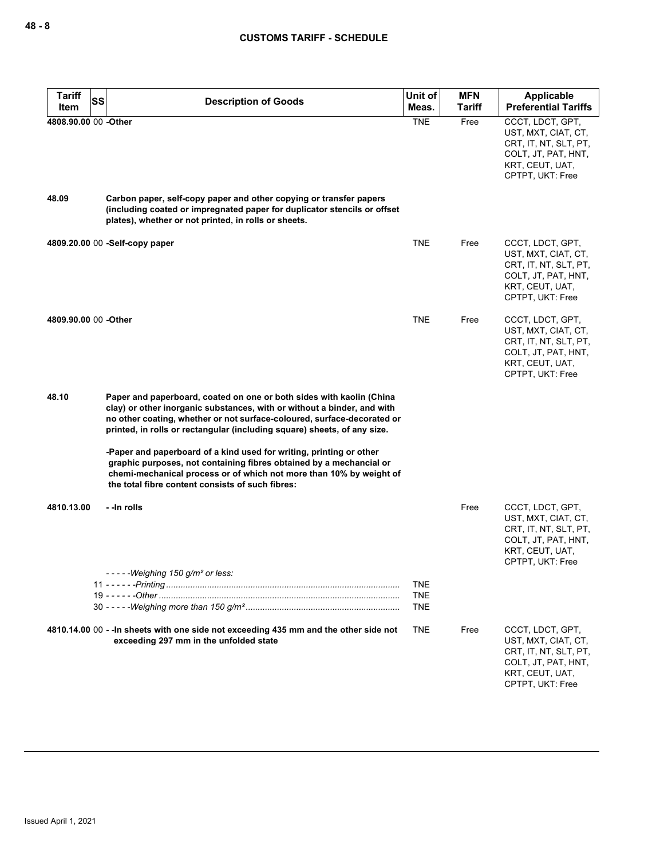| <b>Tariff</b><br>SS<br>Item | <b>Description of Goods</b>                                                                                                                                                                                                                                                                            | Unit of<br>Meas.         | <b>MFN</b><br><b>Tariff</b> | <b>Applicable</b><br><b>Preferential Tariffs</b>                                                                               |
|-----------------------------|--------------------------------------------------------------------------------------------------------------------------------------------------------------------------------------------------------------------------------------------------------------------------------------------------------|--------------------------|-----------------------------|--------------------------------------------------------------------------------------------------------------------------------|
| 4808.90.00 00 -Other        |                                                                                                                                                                                                                                                                                                        | <b>TNE</b>               | Free                        | CCCT, LDCT, GPT,<br>UST, MXT, CIAT, CT,<br>CRT, IT, NT, SLT, PT,<br>COLT, JT, PAT, HNT,<br>KRT, CEUT, UAT,<br>CPTPT, UKT: Free |
| 48.09                       | Carbon paper, self-copy paper and other copying or transfer papers<br>(including coated or impregnated paper for duplicator stencils or offset<br>plates), whether or not printed, in rolls or sheets.                                                                                                 |                          |                             |                                                                                                                                |
|                             | 4809.20.00 00 -Self-copy paper                                                                                                                                                                                                                                                                         | <b>TNE</b>               | Free                        | CCCT, LDCT, GPT,<br>UST, MXT, CIAT, CT,<br>CRT, IT, NT, SLT, PT,<br>COLT, JT, PAT, HNT,<br>KRT, CEUT, UAT,<br>CPTPT, UKT: Free |
| 4809.90.00 00 -Other        |                                                                                                                                                                                                                                                                                                        | <b>TNE</b>               | Free                        | CCCT, LDCT, GPT,<br>UST, MXT, CIAT, CT,<br>CRT, IT, NT, SLT, PT,<br>COLT, JT, PAT, HNT,<br>KRT, CEUT, UAT,<br>CPTPT, UKT: Free |
| 48.10                       | Paper and paperboard, coated on one or both sides with kaolin (China<br>clay) or other inorganic substances, with or without a binder, and with<br>no other coating, whether or not surface-coloured, surface-decorated or<br>printed, in rolls or rectangular (including square) sheets, of any size. |                          |                             |                                                                                                                                |
|                             | -Paper and paperboard of a kind used for writing, printing or other<br>graphic purposes, not containing fibres obtained by a mechancial or<br>chemi-mechanical process or of which not more than 10% by weight of<br>the total fibre content consists of such fibres:                                  |                          |                             |                                                                                                                                |
| 4810.13.00                  | - -in rolls                                                                                                                                                                                                                                                                                            |                          | Free                        | CCCT, LDCT, GPT,<br>UST, MXT, CIAT, CT,<br>CRT, IT, NT, SLT, PT,<br>COLT, JT, PAT, HNT,<br>KRT, CEUT, UAT,<br>CPTPT, UKT: Free |
|                             | ----Weighing 150 g/m <sup>2</sup> or less:                                                                                                                                                                                                                                                             | TNE<br>TNE<br><b>TNE</b> |                             |                                                                                                                                |
|                             | 4810.14.00 00 - - In sheets with one side not exceeding 435 mm and the other side not<br>exceeding 297 mm in the unfolded state                                                                                                                                                                        | TNE                      | Free                        | CCCT, LDCT, GPT,<br>UST, MXT, CIAT, CT,<br>CRT, IT, NT, SLT, PT,<br>COLT, JT, PAT, HNT,<br>KRT, CEUT, UAT,<br>CPTPT, UKT: Free |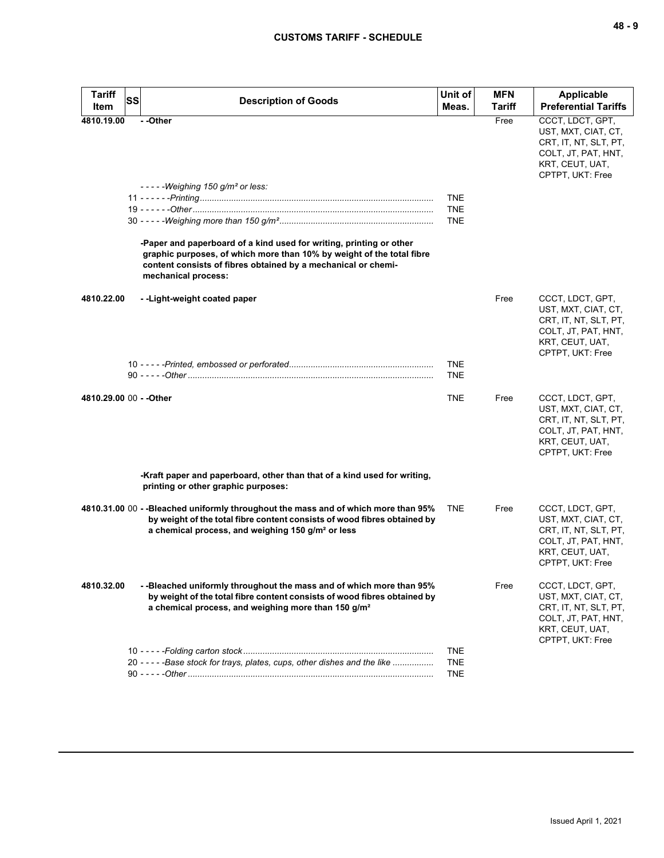| <b>Tariff</b>           | <b>SS</b><br><b>Description of Goods</b>                                                                                                                                                                                             | Unit of                  | <b>MFN</b> | <b>Applicable</b><br><b>Preferential Tariffs</b>                                                                               |
|-------------------------|--------------------------------------------------------------------------------------------------------------------------------------------------------------------------------------------------------------------------------------|--------------------------|------------|--------------------------------------------------------------------------------------------------------------------------------|
| Item                    |                                                                                                                                                                                                                                      | Meas.                    | Tariff     |                                                                                                                                |
| 4810.19.00              | - -Other<br>$---Weighing 150 g/m2 or less:$                                                                                                                                                                                          |                          | Free       | CCCT, LDCT, GPT,<br>UST, MXT, CIAT, CT,<br>CRT, IT, NT, SLT, PT,<br>COLT, JT, PAT, HNT,<br>KRT, CEUT, UAT,<br>CPTPT, UKT: Free |
|                         |                                                                                                                                                                                                                                      | <b>TNE</b>               |            |                                                                                                                                |
|                         |                                                                                                                                                                                                                                      | <b>TNE</b>               |            |                                                                                                                                |
|                         |                                                                                                                                                                                                                                      | <b>TNE</b>               |            |                                                                                                                                |
|                         | -Paper and paperboard of a kind used for writing, printing or other<br>graphic purposes, of which more than 10% by weight of the total fibre<br>content consists of fibres obtained by a mechanical or chemi-<br>mechanical process: |                          |            |                                                                                                                                |
| 4810.22.00              | --Light-weight coated paper                                                                                                                                                                                                          |                          | Free       | CCCT, LDCT, GPT,<br>UST, MXT, CIAT, CT,<br>CRT, IT, NT, SLT, PT,<br>COLT, JT, PAT, HNT,<br>KRT, CEUT, UAT,<br>CPTPT, UKT: Free |
|                         |                                                                                                                                                                                                                                      | <b>TNE</b><br><b>TNE</b> |            |                                                                                                                                |
| 4810.29.00 00 - - Other |                                                                                                                                                                                                                                      | <b>TNE</b>               | Free       | CCCT, LDCT, GPT,<br>UST, MXT, CIAT, CT,<br>CRT, IT, NT, SLT, PT,<br>COLT, JT, PAT, HNT,<br>KRT, CEUT, UAT,<br>CPTPT, UKT: Free |
|                         | -Kraft paper and paperboard, other than that of a kind used for writing,<br>printing or other graphic purposes:                                                                                                                      |                          |            |                                                                                                                                |
|                         | 4810.31.00 00 --Bleached uniformly throughout the mass and of which more than 95%<br>by weight of the total fibre content consists of wood fibres obtained by<br>a chemical process, and weighing 150 g/m <sup>2</sup> or less       | <b>TNE</b>               | Free       | CCCT, LDCT, GPT,<br>UST, MXT, CIAT, CT,<br>CRT, IT, NT, SLT, PT,<br>COLT, JT, PAT, HNT,<br>KRT, CEUT, UAT,<br>CPTPT, UKT: Free |
| 4810.32.00              | --Bleached uniformly throughout the mass and of which more than 95%<br>by weight of the total fibre content consists of wood fibres obtained by<br>a chemical process, and weighing more than 150 g/m <sup>2</sup>                   |                          | Free       | CCCT, LDCT, GPT,<br>UST, MXT, CIAT, CT,<br>CRT, IT, NT, SLT, PT,<br>COLT, JT, PAT, HNT,<br>KRT, CEUT, UAT,<br>CPTPT, UKT: Free |
|                         |                                                                                                                                                                                                                                      | <b>TNE</b>               |            |                                                                                                                                |
|                         | 20 - - - - - Base stock for trays, plates, cups, other dishes and the like                                                                                                                                                           | <b>TNE</b>               |            |                                                                                                                                |
|                         |                                                                                                                                                                                                                                      | <b>TNE</b>               |            |                                                                                                                                |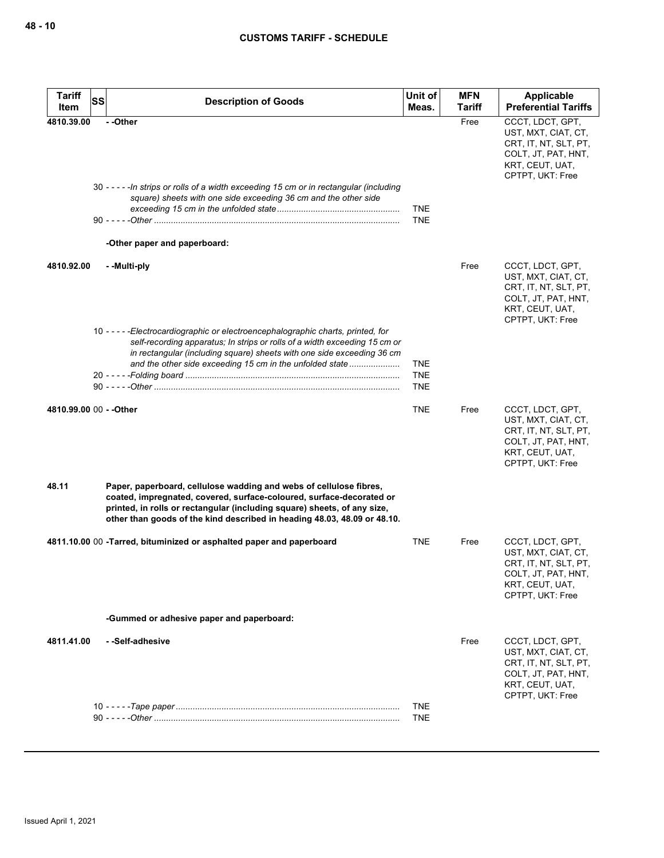| <b>Tariff</b>           | <b>SS</b> | <b>Description of Goods</b>                                                                                                                                                                                                                                                                           | Unit of                                | <b>MFN</b> | <b>Applicable</b>                                                                                                              |
|-------------------------|-----------|-------------------------------------------------------------------------------------------------------------------------------------------------------------------------------------------------------------------------------------------------------------------------------------------------------|----------------------------------------|------------|--------------------------------------------------------------------------------------------------------------------------------|
| Item                    |           |                                                                                                                                                                                                                                                                                                       | Meas.                                  | Tariff     | <b>Preferential Tariffs</b>                                                                                                    |
| 4810.39.00              |           | - -Other<br>30 ----- In strips or rolls of a width exceeding 15 cm or in rectangular (including<br>square) sheets with one side exceeding 36 cm and the other side<br>-Other paper and paperboard:                                                                                                    | <b>TNE</b><br><b>TNE</b>               | Free       | CCCT, LDCT, GPT,<br>UST, MXT, CIAT, CT,<br>CRT, IT, NT, SLT, PT,<br>COLT, JT, PAT, HNT,<br>KRT, CEUT, UAT,<br>CPTPT, UKT: Free |
| 4810.92.00              |           | - -Multi-ply                                                                                                                                                                                                                                                                                          |                                        | Free       | CCCT, LDCT, GPT,<br>UST, MXT, CIAT, CT,<br>CRT, IT, NT, SLT, PT,<br>COLT, JT, PAT, HNT,<br>KRT, CEUT, UAT,<br>CPTPT, UKT: Free |
|                         |           | 10 - - - - - Electrocardiographic or electroencephalographic charts, printed, for<br>self-recording apparatus; In strips or rolls of a width exceeding 15 cm or<br>in rectangular (including square) sheets with one side exceeding 36 cm<br>and the other side exceeding 15 cm in the unfolded state | <b>TNE</b><br><b>TNE</b><br><b>TNE</b> |            |                                                                                                                                |
| 4810.99.00 00 - - Other |           |                                                                                                                                                                                                                                                                                                       | <b>TNE</b>                             | Free       | CCCT, LDCT, GPT,<br>UST, MXT, CIAT, CT,<br>CRT, IT, NT, SLT, PT,<br>COLT, JT, PAT, HNT,<br>KRT, CEUT, UAT,<br>CPTPT, UKT: Free |
| 48.11                   |           | Paper, paperboard, cellulose wadding and webs of cellulose fibres,<br>coated, impregnated, covered, surface-coloured, surface-decorated or<br>printed, in rolls or rectangular (including square) sheets, of any size,<br>other than goods of the kind described in heading 48.03, 48.09 or 48.10.    |                                        |            |                                                                                                                                |
|                         |           | 4811.10.00 00 -Tarred, bituminized or asphalted paper and paperboard                                                                                                                                                                                                                                  | TNE                                    | Free       | CCCT, LDCT, GPT,<br>UST, MXT, CIAT, CT,<br>CRT, IT, NT, SLT, PT,<br>COLT, JT, PAT, HNT,<br>KRT, CEUT, UAT,<br>CPTPT, UKT: Free |
|                         |           | -Gummed or adhesive paper and paperboard:                                                                                                                                                                                                                                                             |                                        |            |                                                                                                                                |
| 4811.41.00              |           | --Self-adhesive                                                                                                                                                                                                                                                                                       |                                        | Free       | CCCT, LDCT, GPT,<br>UST, MXT, CIAT, CT,<br>CRT, IT, NT, SLT, PT,<br>COLT, JT, PAT, HNT,<br>KRT, CEUT, UAT,<br>CPTPT, UKT: Free |
|                         |           |                                                                                                                                                                                                                                                                                                       | <b>TNE</b><br><b>TNE</b>               |            |                                                                                                                                |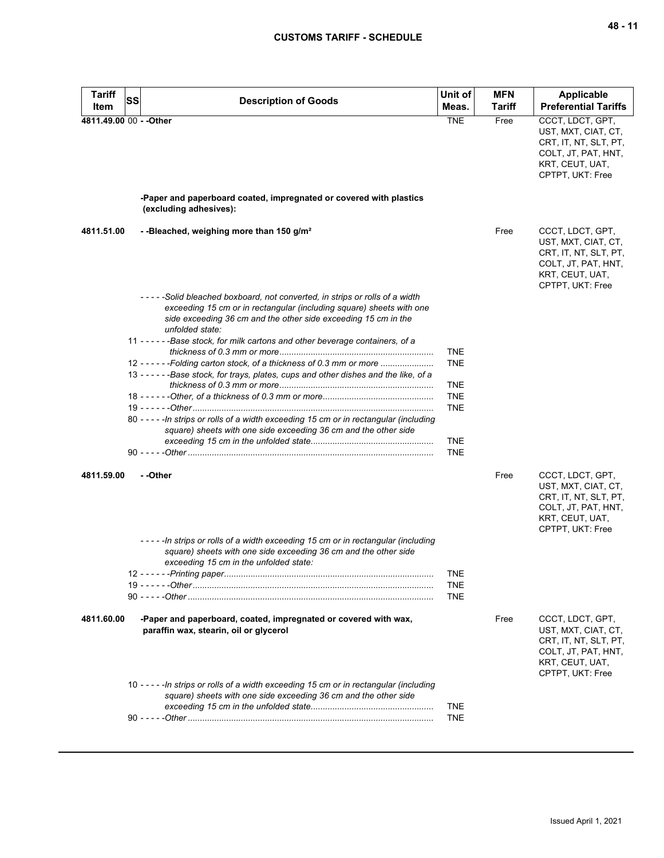| Tariff<br>Item          | <b>SS</b> | <b>Description of Goods</b>                                                                                                                                                                                                             | Unit of<br>Meas.         | <b>MFN</b><br><b>Tariff</b> | <b>Applicable</b><br><b>Preferential Tariffs</b>                                                                               |
|-------------------------|-----------|-----------------------------------------------------------------------------------------------------------------------------------------------------------------------------------------------------------------------------------------|--------------------------|-----------------------------|--------------------------------------------------------------------------------------------------------------------------------|
| 4811.49.00 00 - - Other |           |                                                                                                                                                                                                                                         | <b>TNE</b>               | Free                        | CCCT, LDCT, GPT,<br>UST, MXT, CIAT, CT,<br>CRT, IT, NT, SLT, PT,<br>COLT, JT, PAT, HNT,<br>KRT, CEUT, UAT,<br>CPTPT, UKT: Free |
|                         |           | -Paper and paperboard coated, impregnated or covered with plastics<br>(excluding adhesives):                                                                                                                                            |                          |                             |                                                                                                                                |
| 4811.51.00              |           | --Bleached, weighing more than 150 g/m <sup>2</sup>                                                                                                                                                                                     |                          | Free                        | CCCT, LDCT, GPT,<br>UST, MXT, CIAT, CT,<br>CRT, IT, NT, SLT, PT,<br>COLT, JT, PAT, HNT,<br>KRT, CEUT, UAT,<br>CPTPT, UKT: Free |
|                         |           | -----Solid bleached boxboard, not converted, in strips or rolls of a width<br>exceeding 15 cm or in rectangular (including square) sheets with one<br>side exceeding 36 cm and the other side exceeding 15 cm in the<br>unfolded state: |                          |                             |                                                                                                                                |
|                         |           | 11 - - - - - - Base stock, for milk cartons and other beverage containers, of a                                                                                                                                                         | <b>TNE</b>               |                             |                                                                                                                                |
|                         |           | 12 - - - - - - Folding carton stock, of a thickness of 0.3 mm or more<br>13 - - - - - - Base stock, for trays, plates, cups and other dishes and the like, of a                                                                         | <b>TNE</b><br><b>TNE</b> |                             |                                                                                                                                |
|                         |           |                                                                                                                                                                                                                                         | <b>TNE</b><br><b>TNE</b> |                             |                                                                                                                                |
|                         |           | 80 - - - - - In strips or rolls of a width exceeding 15 cm or in rectangular (including<br>square) sheets with one side exceeding 36 cm and the other side                                                                              | <b>TNE</b>               |                             |                                                                                                                                |
|                         |           |                                                                                                                                                                                                                                         | <b>TNE</b>               |                             |                                                                                                                                |
| 4811.59.00              |           | - -Other                                                                                                                                                                                                                                |                          | Free                        | CCCT, LDCT, GPT,<br>UST, MXT, CIAT, CT,<br>CRT, IT, NT, SLT, PT,<br>COLT, JT, PAT, HNT,<br>KRT, CEUT, UAT,<br>CPTPT, UKT: Free |
|                         |           | ----- In strips or rolls of a width exceeding 15 cm or in rectangular (including<br>square) sheets with one side exceeding 36 cm and the other side<br>exceeding 15 cm in the unfolded state:                                           |                          |                             |                                                                                                                                |
|                         |           |                                                                                                                                                                                                                                         | TNE<br><b>TNE</b>        |                             |                                                                                                                                |
|                         |           |                                                                                                                                                                                                                                         | <b>TNE</b>               |                             |                                                                                                                                |
| 4811.60.00              |           | -Paper and paperboard, coated, impregnated or covered with wax,<br>paraffin wax, stearin, oil or glycerol                                                                                                                               |                          | Free                        | CCCT, LDCT, GPT,<br>UST, MXT, CIAT, CT,<br>CRT, IT, NT, SLT, PT,<br>COLT, JT, PAT, HNT,<br>KRT, CEUT, UAT,<br>CPTPT, UKT: Free |
|                         |           | 10 - - - - - In strips or rolls of a width exceeding 15 cm or in rectangular (including<br>square) sheets with one side exceeding 36 cm and the other side                                                                              | <b>TNE</b>               |                             |                                                                                                                                |
|                         |           |                                                                                                                                                                                                                                         | <b>TNE</b>               |                             |                                                                                                                                |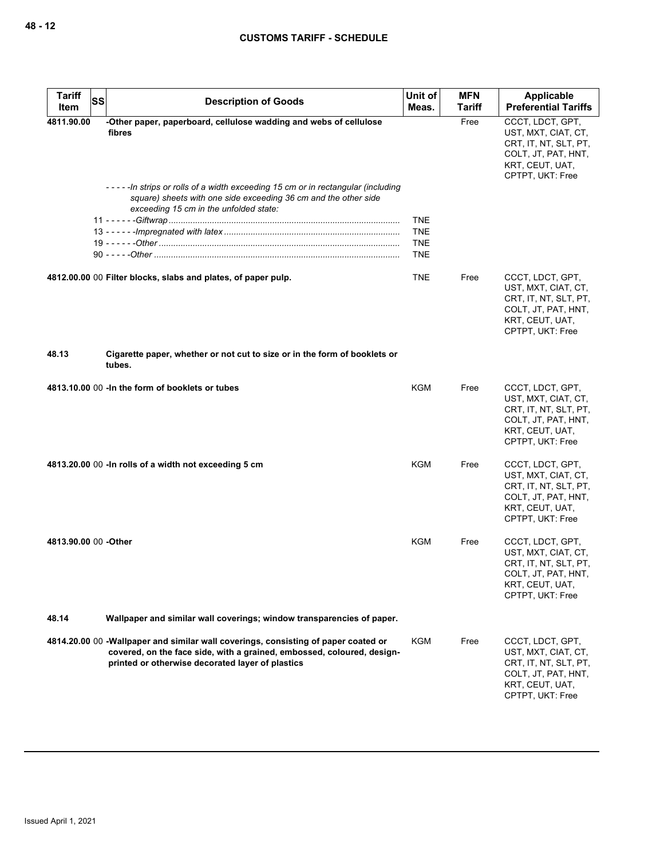| <b>Tariff</b><br>Item | SS | <b>Description of Goods</b>                                                                                                                                                                                      | Unit of<br>Meas.                                     | <b>MFN</b><br>Tariff | Applicable<br><b>Preferential Tariffs</b>                                                                                      |
|-----------------------|----|------------------------------------------------------------------------------------------------------------------------------------------------------------------------------------------------------------------|------------------------------------------------------|----------------------|--------------------------------------------------------------------------------------------------------------------------------|
| 4811.90.00            |    | -Other paper, paperboard, cellulose wadding and webs of cellulose<br>fibres                                                                                                                                      |                                                      | Free                 | CCCT. LDCT. GPT.<br>UST, MXT, CIAT, CT,<br>CRT, IT, NT, SLT, PT,<br>COLT, JT, PAT, HNT,<br>KRT, CEUT, UAT,<br>CPTPT, UKT: Free |
|                       |    | ----In strips or rolls of a width exceeding 15 cm or in rectangular (including<br>square) sheets with one side exceeding 36 cm and the other side<br>exceeding 15 cm in the unfolded state:                      | <b>TNE</b><br><b>TNE</b><br><b>TNE</b><br><b>TNE</b> |                      |                                                                                                                                |
|                       |    | 4812.00.00 00 Filter blocks, slabs and plates, of paper pulp.                                                                                                                                                    | <b>TNE</b>                                           | Free                 | CCCT, LDCT, GPT,<br>UST, MXT, CIAT, CT,<br>CRT, IT, NT, SLT, PT,<br>COLT, JT, PAT, HNT,<br>KRT, CEUT, UAT,<br>CPTPT, UKT: Free |
| 48.13                 |    | Cigarette paper, whether or not cut to size or in the form of booklets or<br>tubes.                                                                                                                              |                                                      |                      |                                                                                                                                |
|                       |    | 4813.10.00 00 - In the form of booklets or tubes                                                                                                                                                                 | <b>KGM</b>                                           | Free                 | CCCT, LDCT, GPT,<br>UST, MXT, CIAT, CT,<br>CRT, IT, NT, SLT, PT,<br>COLT, JT, PAT, HNT,<br>KRT, CEUT, UAT,<br>CPTPT, UKT: Free |
|                       |    | 4813.20.00 00 - In rolls of a width not exceeding 5 cm                                                                                                                                                           | KGM                                                  | Free                 | CCCT, LDCT, GPT,<br>UST, MXT, CIAT, CT,<br>CRT, IT, NT, SLT, PT,<br>COLT, JT, PAT, HNT,<br>KRT, CEUT, UAT,<br>CPTPT, UKT: Free |
| 4813.90.00 00 - Other |    |                                                                                                                                                                                                                  | KGM                                                  | Free                 | CCCT, LDCT, GPT,<br>UST, MXT, CIAT, CT,<br>CRT, IT, NT, SLT, PT,<br>COLI, JI, PAI, HNI,<br>KRT, CEUT, UAT,<br>CPTPT, UKT: Free |
| 48.14                 |    | Wallpaper and similar wall coverings; window transparencies of paper.                                                                                                                                            |                                                      |                      |                                                                                                                                |
|                       |    | 4814.20.00 00 -Wallpaper and similar wall coverings, consisting of paper coated or<br>covered, on the face side, with a grained, embossed, coloured, design-<br>printed or otherwise decorated layer of plastics | KGM                                                  | Free                 | CCCT, LDCT, GPT,<br>UST, MXT, CIAT, CT,<br>CRT, IT, NT, SLT, PT,<br>COLT, JT, PAT, HNT,<br>KRT, CEUT, UAT,<br>CPTPT, UKT: Free |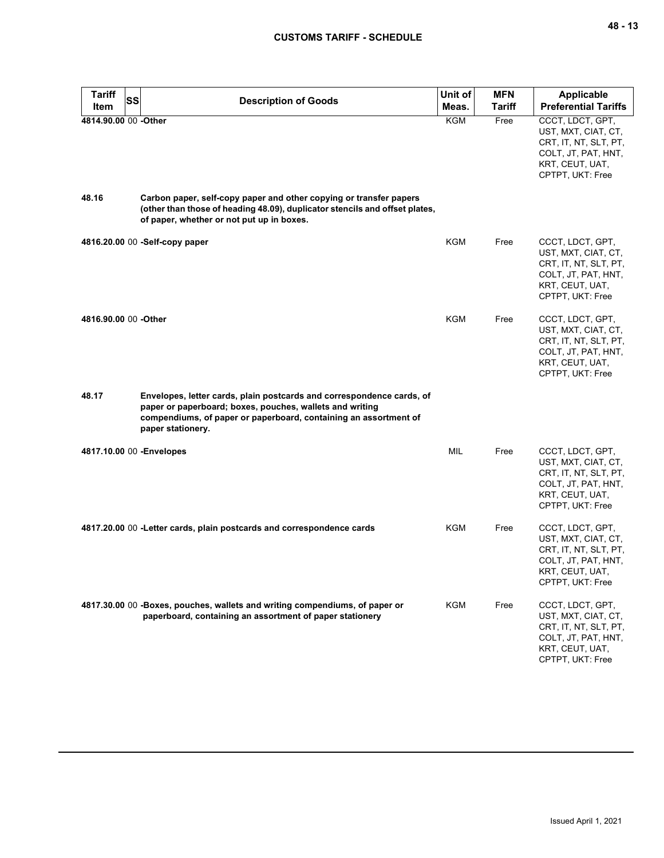| <b>Tariff</b><br><b>SS</b><br>Item | <b>Description of Goods</b>                                                                                                                                                                                                | Unit of<br>Meas. | <b>MFN</b><br><b>Tariff</b> | <b>Applicable</b><br><b>Preferential Tariffs</b>                                                                               |
|------------------------------------|----------------------------------------------------------------------------------------------------------------------------------------------------------------------------------------------------------------------------|------------------|-----------------------------|--------------------------------------------------------------------------------------------------------------------------------|
| 4814.90.00 00 - Other              |                                                                                                                                                                                                                            | <b>KGM</b>       | Free                        | CCCT, LDCT, GPT,<br>UST, MXT, CIAT, CT,<br>CRT, IT, NT, SLT, PT,<br>COLT, JT, PAT, HNT,<br>KRT, CEUT, UAT,<br>CPTPT, UKT: Free |
| 48.16                              | Carbon paper, self-copy paper and other copying or transfer papers<br>(other than those of heading 48.09), duplicator stencils and offset plates,<br>of paper, whether or not put up in boxes.                             |                  |                             |                                                                                                                                |
|                                    | 4816.20.00 00 -Self-copy paper                                                                                                                                                                                             | KGM              | Free                        | CCCT, LDCT, GPT,<br>UST, MXT, CIAT, CT,<br>CRT, IT, NT, SLT, PT,<br>COLT, JT, PAT, HNT,<br>KRT, CEUT, UAT,<br>CPTPT, UKT: Free |
| 4816.90.00 00 -Other               |                                                                                                                                                                                                                            | KGM              | Free                        | CCCT, LDCT, GPT,<br>UST, MXT, CIAT, CT,<br>CRT, IT, NT, SLT, PT,<br>COLT, JT, PAT, HNT,<br>KRT, CEUT, UAT,<br>CPTPT, UKT: Free |
| 48.17                              | Envelopes, letter cards, plain postcards and correspondence cards, of<br>paper or paperboard; boxes, pouches, wallets and writing<br>compendiums, of paper or paperboard, containing an assortment of<br>paper stationery. |                  |                             |                                                                                                                                |
| 4817.10.00 00 - Envelopes          |                                                                                                                                                                                                                            | <b>MIL</b>       | Free                        | CCCT, LDCT, GPT,<br>UST, MXT, CIAT, CT,<br>CRT, IT, NT, SLT, PT,<br>COLT, JT, PAT, HNT,<br>KRT, CEUT, UAT,<br>CPTPT, UKT: Free |
|                                    | 4817.20.00 00 - Letter cards, plain postcards and correspondence cards                                                                                                                                                     | KGM              | Free                        | CCCT, LDCT, GPT,<br>UST, MXT, CIAT, CT,<br>CRT, IT, NT, SLT, PT,<br>COLT, JT, PAT, HNT,<br>KRT, CEUT, UAT,<br>CPTPT, UKT: Free |
|                                    | 4817.30.00 00 -Boxes, pouches, wallets and writing compendiums, of paper or<br>paperboard, containing an assortment of paper stationery                                                                                    | KGM              | Free                        | CCCT, LDCT, GPT,<br>UST, MXT, CIAT, CT,<br>CRT, IT, NT, SLT, PT,<br>COLT, JT, PAT, HNT,<br>KRT, CEUT, UAT,<br>CPTPT, UKT: Free |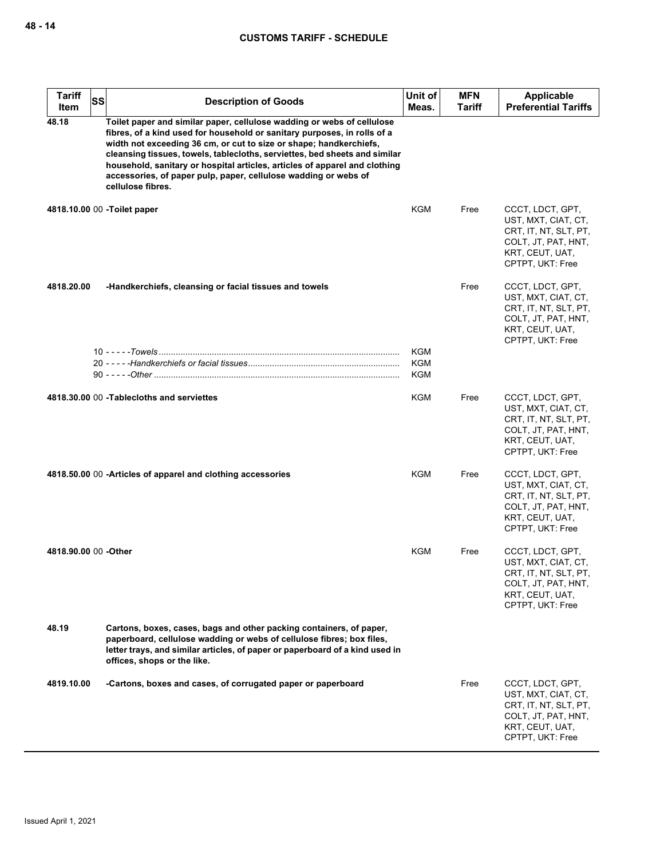| <b>Tariff</b><br>Item | <b>SS</b> | <b>Description of Goods</b>                                                                                                                                                                                                                                                                                                                                                                                                                                                  | Unit of<br>Meas.  | <b>MFN</b><br>Tariff | <b>Applicable</b><br><b>Preferential Tariffs</b>                                                                               |
|-----------------------|-----------|------------------------------------------------------------------------------------------------------------------------------------------------------------------------------------------------------------------------------------------------------------------------------------------------------------------------------------------------------------------------------------------------------------------------------------------------------------------------------|-------------------|----------------------|--------------------------------------------------------------------------------------------------------------------------------|
| 48.18                 |           | Toilet paper and similar paper, cellulose wadding or webs of cellulose<br>fibres, of a kind used for household or sanitary purposes, in rolls of a<br>width not exceeding 36 cm, or cut to size or shape; handkerchiefs,<br>cleansing tissues, towels, tablecloths, serviettes, bed sheets and similar<br>household, sanitary or hospital articles, articles of apparel and clothing<br>accessories, of paper pulp, paper, cellulose wadding or webs of<br>cellulose fibres. |                   |                      |                                                                                                                                |
|                       |           | 4818.10.00 00 -Toilet paper                                                                                                                                                                                                                                                                                                                                                                                                                                                  | <b>KGM</b>        | Free                 | CCCT, LDCT, GPT,<br>UST, MXT, CIAT, CT,<br>CRT, IT, NT, SLT, PT,<br>COLT, JT, PAT, HNT,<br>KRT, CEUT, UAT,<br>CPTPT, UKT: Free |
| 4818.20.00            |           | -Handkerchiefs, cleansing or facial tissues and towels                                                                                                                                                                                                                                                                                                                                                                                                                       |                   | Free                 | CCCT, LDCT, GPT,<br>UST, MXT, CIAT, CT,<br>CRT, IT, NT, SLT, PT,<br>COLT, JT, PAT, HNT,<br>KRT, CEUT, UAT,<br>CPTPT, UKT: Free |
|                       |           |                                                                                                                                                                                                                                                                                                                                                                                                                                                                              | KGM<br><b>KGM</b> |                      |                                                                                                                                |
|                       |           |                                                                                                                                                                                                                                                                                                                                                                                                                                                                              | KGM               |                      |                                                                                                                                |
|                       |           | 4818.30.00 00 - Tablecloths and serviettes                                                                                                                                                                                                                                                                                                                                                                                                                                   | <b>KGM</b>        | Free                 | CCCT, LDCT, GPT,<br>UST, MXT, CIAT, CT,<br>CRT, IT, NT, SLT, PT,<br>COLT, JT, PAT, HNT,<br>KRT, CEUT, UAT,<br>CPTPT, UKT: Free |
|                       |           | 4818.50.00 00 - Articles of apparel and clothing accessories                                                                                                                                                                                                                                                                                                                                                                                                                 | <b>KGM</b>        | Free                 | CCCT, LDCT, GPT,<br>UST, MXT, CIAT, CT,<br>CRT, IT, NT, SLT, PT,<br>COLT, JT, PAT, HNT,<br>KRT, CEUT, UAT,<br>CPTPT, UKT: Free |
| 4818.90.00 00 -Other  |           |                                                                                                                                                                                                                                                                                                                                                                                                                                                                              | KGM               | Free                 | CCCT, LDCT, GPT,<br>UST, MXT, CIAT, CT,<br>CRT, IT, NT, SLT, PT,<br>COLT, JT, PAT, HNT,<br>KRT, CEUT, UAT,<br>CPTPT, UKT: Free |
| 48.19                 |           | Cartons, boxes, cases, bags and other packing containers, of paper,<br>paperboard, cellulose wadding or webs of cellulose fibres; box files,<br>letter trays, and similar articles, of paper or paperboard of a kind used in<br>offices, shops or the like.                                                                                                                                                                                                                  |                   |                      |                                                                                                                                |
| 4819.10.00            |           | -Cartons, boxes and cases, of corrugated paper or paperboard                                                                                                                                                                                                                                                                                                                                                                                                                 |                   | Free                 | CCCT, LDCT, GPT,<br>UST, MXT, CIAT, CT,<br>CRT, IT, NT, SLT, PT,<br>COLT, JT, PAT, HNT,<br>KRT, CEUT, UAT,<br>CPTPT, UKT: Free |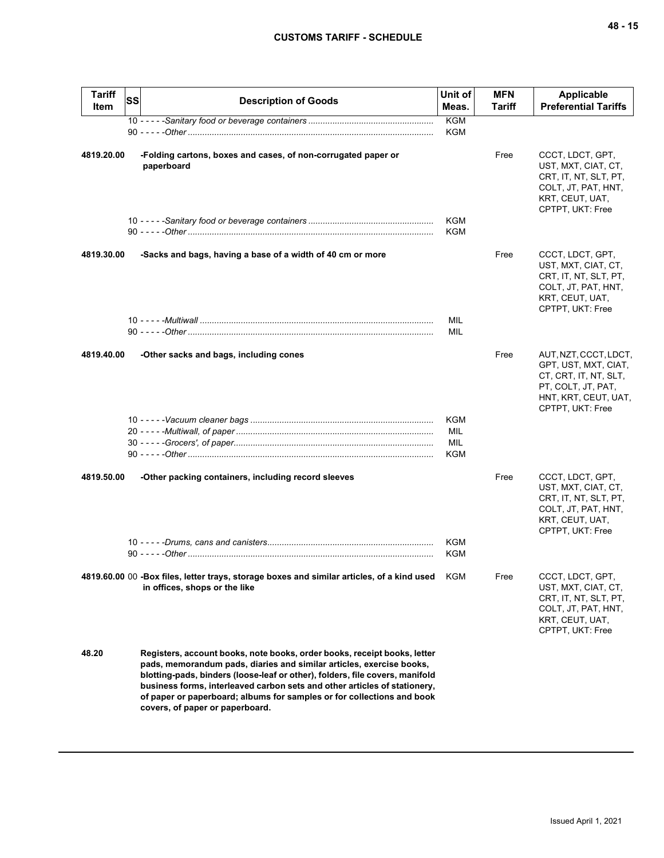| <b>Tariff</b><br>Item | SS | <b>Description of Goods</b>                                                                                                                                                                                                                                                                                                                                                                                                | Unit of<br>Meas.                | <b>MFN</b><br>Tariff | <b>Applicable</b><br><b>Preferential Tariffs</b>                                                                                         |
|-----------------------|----|----------------------------------------------------------------------------------------------------------------------------------------------------------------------------------------------------------------------------------------------------------------------------------------------------------------------------------------------------------------------------------------------------------------------------|---------------------------------|----------------------|------------------------------------------------------------------------------------------------------------------------------------------|
|                       |    |                                                                                                                                                                                                                                                                                                                                                                                                                            | <b>KGM</b>                      |                      |                                                                                                                                          |
|                       |    |                                                                                                                                                                                                                                                                                                                                                                                                                            | KGM                             |                      |                                                                                                                                          |
| 4819.20.00            |    | -Folding cartons, boxes and cases, of non-corrugated paper or<br>paperboard                                                                                                                                                                                                                                                                                                                                                |                                 | Free                 | CCCT, LDCT, GPT,<br>UST, MXT, CIAT, CT,<br>CRT, IT, NT, SLT, PT,<br>COLT, JT, PAT, HNT,<br>KRT, CEUT, UAT,<br>CPTPT, UKT: Free           |
|                       |    |                                                                                                                                                                                                                                                                                                                                                                                                                            | <b>KGM</b><br><b>KGM</b>        |                      |                                                                                                                                          |
| 4819.30.00            |    | -Sacks and bags, having a base of a width of 40 cm or more                                                                                                                                                                                                                                                                                                                                                                 |                                 | Free                 | CCCT, LDCT, GPT,<br>UST, MXT, CIAT, CT,<br>CRT, IT, NT, SLT, PT,<br>COLT, JT, PAT, HNT,<br>KRT, CEUT, UAT,<br>CPTPT, UKT: Free           |
|                       |    |                                                                                                                                                                                                                                                                                                                                                                                                                            | MIL<br>MIL                      |                      |                                                                                                                                          |
| 4819.40.00            |    | -Other sacks and bags, including cones                                                                                                                                                                                                                                                                                                                                                                                     |                                 | Free                 | AUT, NZT, CCCT, LDCT,<br>GPT, UST, MXT, CIAT,<br>CT, CRT, IT, NT, SLT,<br>PT, COLT, JT, PAT,<br>HNT, KRT, CEUT, UAT,<br>CPTPT, UKT: Free |
|                       |    |                                                                                                                                                                                                                                                                                                                                                                                                                            | <b>KGM</b><br>MIL<br>MIL<br>KGM |                      |                                                                                                                                          |
| 4819.50.00            |    | -Other packing containers, including record sleeves                                                                                                                                                                                                                                                                                                                                                                        |                                 | Free                 | CCCT, LDCT, GPT,<br>UST, MXT, CIAT, CT,<br>CRT, IT, NT, SLT, PT,<br>COLT, JT, PAT, HNT,<br>KRT, CEUT, UAT,<br>CPTPT, UKT: Free           |
|                       |    |                                                                                                                                                                                                                                                                                                                                                                                                                            | <b>KGM</b><br>KGM               |                      |                                                                                                                                          |
|                       |    | 4819.60.00 00 -Box files, letter trays, storage boxes and similar articles, of a kind used KGM<br>in offices, shops or the like                                                                                                                                                                                                                                                                                            |                                 | Free                 | CCCT, LDCT, GPT,<br>UST, MXT, CIAT, CT,<br>CRT, IT, NT, SLT, PT,<br>COLT, JT, PAT, HNT,<br>KRT, CEUT, UAT,<br>CPTPT, UKT: Free           |
| 48.20                 |    | Registers, account books, note books, order books, receipt books, letter<br>pads, memorandum pads, diaries and similar articles, exercise books,<br>blotting-pads, binders (loose-leaf or other), folders, file covers, manifold<br>business forms, interleaved carbon sets and other articles of stationery,<br>of paper or paperboard; albums for samples or for collections and book<br>covers, of paper or paperboard. |                                 |                      |                                                                                                                                          |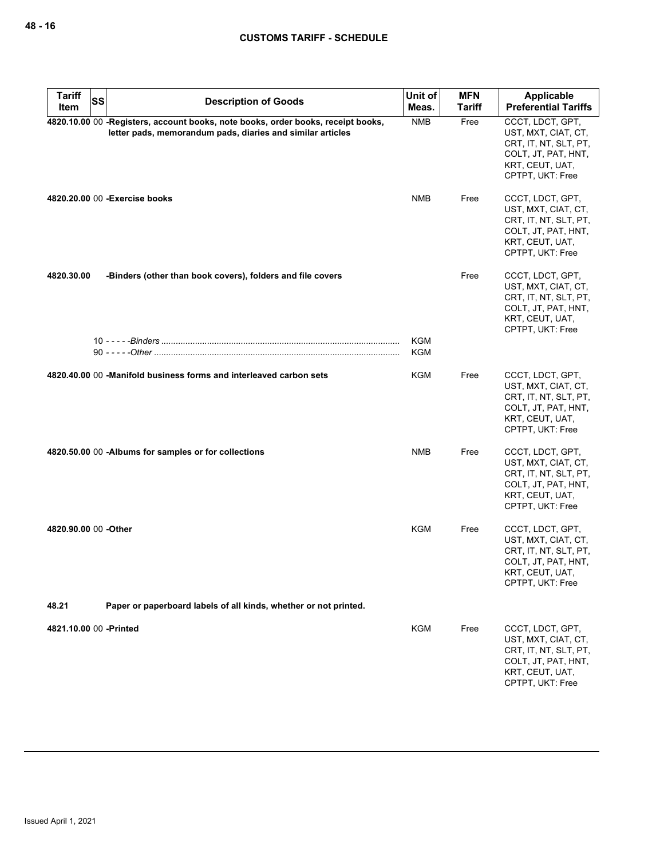| <b>Tariff</b>          | <b>SS</b><br><b>Description of Goods</b>                                                                                                       | Unit of    | <b>MFN</b>    | <b>Applicable</b>                                                                                                              |
|------------------------|------------------------------------------------------------------------------------------------------------------------------------------------|------------|---------------|--------------------------------------------------------------------------------------------------------------------------------|
| Item                   |                                                                                                                                                | Meas.      | <b>Tariff</b> | <b>Preferential Tariffs</b>                                                                                                    |
|                        | 4820.10.00 00 -Registers, account books, note books, order books, receipt books,<br>letter pads, memorandum pads, diaries and similar articles | <b>NMB</b> | Free          | CCCT, LDCT, GPT,<br>UST, MXT, CIAT, CT,<br>CRT, IT, NT, SLT, PT,<br>COLT, JT, PAT, HNT,<br>KRT, CEUT, UAT,<br>CPTPT, UKT: Free |
|                        | 4820.20.00 00 - Exercise books                                                                                                                 | <b>NMB</b> | Free          | CCCT, LDCT, GPT,<br>UST, MXT, CIAT, CT,<br>CRT, IT, NT, SLT, PT,<br>COLT, JT, PAT, HNT,<br>KRT, CEUT, UAT,<br>CPTPT, UKT: Free |
| 4820.30.00             | -Binders (other than book covers), folders and file covers                                                                                     |            | Free          | CCCT, LDCT, GPT,<br>UST, MXT, CIAT, CT,<br>CRT, IT, NT, SLT, PT,<br>COLT, JT, PAT, HNT,<br>KRT, CEUT, UAT,<br>CPTPT, UKT: Free |
|                        |                                                                                                                                                | KGM        |               |                                                                                                                                |
|                        |                                                                                                                                                | KGM        |               |                                                                                                                                |
|                        | 4820,40,00 00 -Manifold business forms and interleaved carbon sets                                                                             | KGM        | Free          | CCCT, LDCT, GPT,<br>UST, MXT, CIAT, CT,<br>CRT, IT, NT, SLT, PT,<br>COLT, JT, PAT, HNT,<br>KRT, CEUT, UAT,<br>CPTPT, UKT: Free |
|                        | 4820.50.00 00 -Albums for samples or for collections                                                                                           | <b>NMB</b> | Free          | CCCT, LDCT, GPT,<br>UST, MXT, CIAT, CT,<br>CRT, IT, NT, SLT, PT,<br>COLT, JT, PAT, HNT,<br>KRT, CEUT, UAT,<br>CPTPT, UKT: Free |
| 4820.90.00 00 -Other   |                                                                                                                                                | <b>KGM</b> | Free          | CCCT, LDCT, GPT,<br>UST, MXT, CIAT, CT,<br>CRT, IT, NT, SLT, PT,<br>COLT, JT, PAT, HNT,<br>KRT, CEUT, UAT,<br>CPTPT, UKT: Free |
| 48.21                  | Paper or paperboard labels of all kinds, whether or not printed.                                                                               |            |               |                                                                                                                                |
| 4821.10.00 00 -Printed |                                                                                                                                                | <b>KGM</b> | Free          | CCCT, LDCT, GPT,<br>UST, MXT, CIAT, CT,<br>CRT, IT, NT, SLT, PT,<br>COLT, JT, PAT, HNT,<br>KRT, CEUT, UAT,<br>CPTPT, UKT: Free |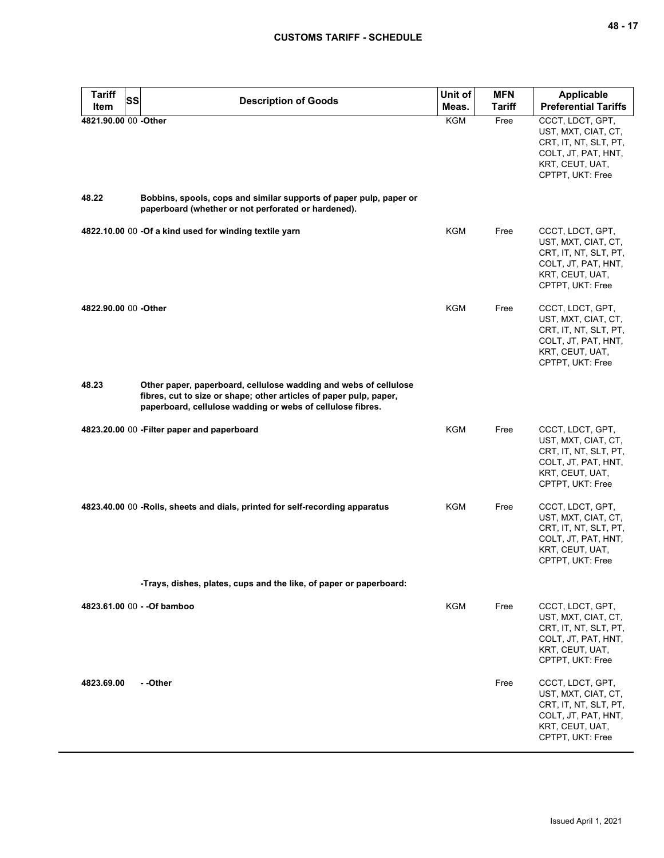| <b>Tariff</b>                 | SS<br><b>Description of Goods</b>                                                                                                                                                                    | Unit of    | <b>MFN</b> | <b>Applicable</b>                                                                                                              |
|-------------------------------|------------------------------------------------------------------------------------------------------------------------------------------------------------------------------------------------------|------------|------------|--------------------------------------------------------------------------------------------------------------------------------|
| <b>Item</b>                   |                                                                                                                                                                                                      | Meas.      | Tariff     | <b>Preferential Tariffs</b>                                                                                                    |
| 4821.90.00 00 -Other<br>48.22 | Bobbins, spools, cops and similar supports of paper pulp, paper or                                                                                                                                   | KGM        | Free       | CCCT, LDCT, GPT,<br>UST, MXT, CIAT, CT,<br>CRT, IT, NT, SLT, PT,<br>COLT, JT, PAT, HNT,<br>KRT, CEUT, UAT,<br>CPTPT, UKT: Free |
|                               | paperboard (whether or not perforated or hardened).                                                                                                                                                  |            |            |                                                                                                                                |
|                               | 4822.10.00 00 -Of a kind used for winding textile yarn                                                                                                                                               | <b>KGM</b> | Free       | CCCT, LDCT, GPT,<br>UST, MXT, CIAT, CT,<br>CRT, IT, NT, SLT, PT,<br>COLT, JT, PAT, HNT,<br>KRT, CEUT, UAT,<br>CPTPT, UKT: Free |
| 4822.90.00 00 -Other          |                                                                                                                                                                                                      | <b>KGM</b> | Free       | CCCT, LDCT, GPT,<br>UST, MXT, CIAT, CT,<br>CRT, IT, NT, SLT, PT,<br>COLT, JT, PAT, HNT,<br>KRT, CEUT, UAT,<br>CPTPT, UKT: Free |
| 48.23                         | Other paper, paperboard, cellulose wadding and webs of cellulose<br>fibres, cut to size or shape; other articles of paper pulp, paper,<br>paperboard, cellulose wadding or webs of cellulose fibres. |            |            |                                                                                                                                |
|                               | 4823.20.00 00 - Filter paper and paperboard                                                                                                                                                          | <b>KGM</b> | Free       | CCCT, LDCT, GPT,<br>UST, MXT, CIAT, CT,<br>CRT, IT, NT, SLT, PT,<br>COLT, JT, PAT, HNT,<br>KRT, CEUT, UAT,<br>CPTPT, UKT: Free |
|                               | 4823.40.00 00 -Rolls, sheets and dials, printed for self-recording apparatus                                                                                                                         | <b>KGM</b> | Free       | CCCT, LDCT, GPT,<br>UST, MXT, CIAT, CT,<br>CRT, IT, NT, SLT, PT,<br>COLT, JT, PAT, HNT,<br>KRT, CEUT, UAT,<br>CPTPT, UKT: Free |
|                               | -Trays, dishes, plates, cups and the like, of paper or paperboard:                                                                                                                                   |            |            |                                                                                                                                |
|                               | 4823.61.00 00 - - Of bamboo                                                                                                                                                                          | <b>KGM</b> | Free       | CCCT, LDCT, GPT,<br>UST, MXT, CIAT, CT,<br>CRT, IT, NT, SLT, PT,<br>COLT, JT, PAT, HNT,<br>KRT, CEUT, UAT,<br>CPTPT, UKT: Free |
| 4823.69.00                    | - -Other                                                                                                                                                                                             |            | Free       | CCCT, LDCT, GPT,<br>UST, MXT, CIAT, CT,<br>CRT, IT, NT, SLT, PT,<br>COLT, JT, PAT, HNT,<br>KRT, CEUT, UAT,<br>CPTPT, UKT: Free |